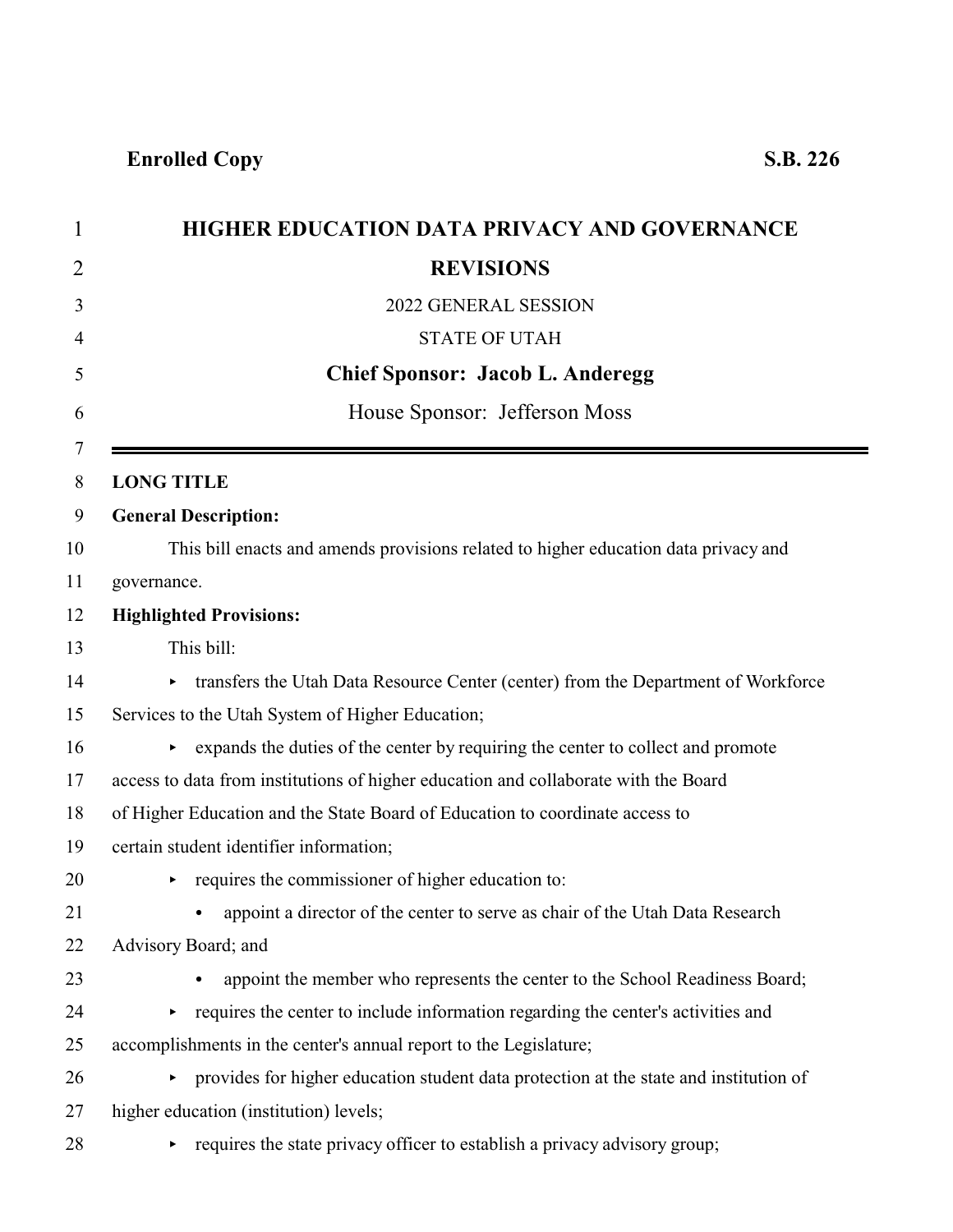| S.B. 226 |  |
|----------|--|
|----------|--|

| HIGHER EDUCATION DATA PRIVACY AND GOVERNANCE                                             |
|------------------------------------------------------------------------------------------|
| <b>REVISIONS</b>                                                                         |
| 2022 GENERAL SESSION                                                                     |
| <b>STATE OF UTAH</b>                                                                     |
| <b>Chief Sponsor: Jacob L. Anderegg</b>                                                  |
| House Sponsor: Jefferson Moss                                                            |
| <b>LONG TITLE</b>                                                                        |
| <b>General Description:</b>                                                              |
| This bill enacts and amends provisions related to higher education data privacy and      |
| governance.                                                                              |
| <b>Highlighted Provisions:</b>                                                           |
| This bill:                                                                               |
| transfers the Utah Data Resource Center (center) from the Department of Workforce        |
| Services to the Utah System of Higher Education;                                         |
| expands the duties of the center by requiring the center to collect and promote<br>Þ.    |
| access to data from institutions of higher education and collaborate with the Board      |
| of Higher Education and the State Board of Education to coordinate access to             |
| certain student identifier information;                                                  |
| requires the commissioner of higher education to:                                        |
| appoint a director of the center to serve as chair of the Utah Data Research             |
| Advisory Board; and                                                                      |
| appoint the member who represents the center to the School Readiness Board;<br>$\bullet$ |
| requires the center to include information regarding the center's activities and         |
| accomplishments in the center's annual report to the Legislature;                        |
| provides for higher education student data protection at the state and institution of    |
| higher education (institution) levels;                                                   |
| requires the state privacy officer to establish a privacy advisory group;                |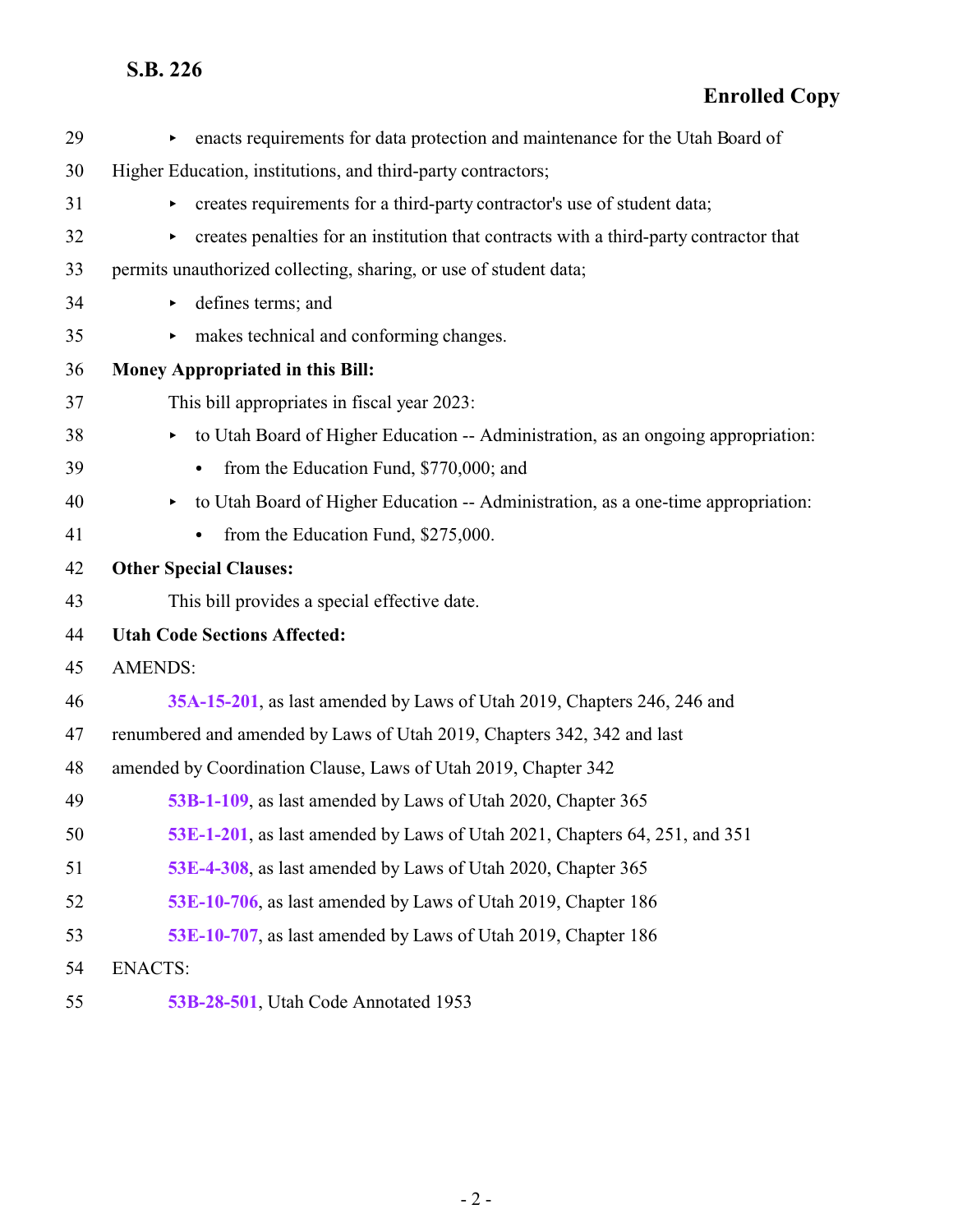| 29 | enacts requirements for data protection and maintenance for the Utah Board of<br>$\blacktriangleright$ |
|----|--------------------------------------------------------------------------------------------------------|
| 30 | Higher Education, institutions, and third-party contractors;                                           |
| 31 | creates requirements for a third-party contractor's use of student data;<br>$\blacktriangleright$      |
| 32 | creates penalties for an institution that contracts with a third-party contractor that<br>►.           |
| 33 | permits unauthorized collecting, sharing, or use of student data;                                      |
| 34 | defines terms; and<br>Þ.                                                                               |
| 35 | makes technical and conforming changes.<br>►                                                           |
| 36 | Money Appropriated in this Bill:                                                                       |
| 37 | This bill appropriates in fiscal year 2023:                                                            |
| 38 | to Utah Board of Higher Education -- Administration, as an ongoing appropriation:<br>▶                 |
| 39 | from the Education Fund, \$770,000; and<br>$\bullet$                                                   |
| 40 | to Utah Board of Higher Education -- Administration, as a one-time appropriation:<br>▶.                |
| 41 | from the Education Fund, \$275,000.<br>$\bullet$                                                       |
| 42 | <b>Other Special Clauses:</b>                                                                          |
| 43 | This bill provides a special effective date.                                                           |
| 44 | <b>Utah Code Sections Affected:</b>                                                                    |
| 45 | <b>AMENDS:</b>                                                                                         |
| 46 | 35A-15-201, as last amended by Laws of Utah 2019, Chapters 246, 246 and                                |
| 47 | renumbered and amended by Laws of Utah 2019, Chapters 342, 342 and last                                |
| 48 | amended by Coordination Clause, Laws of Utah 2019, Chapter 342                                         |
| 49 | 53B-1-109, as last amended by Laws of Utah 2020, Chapter 365                                           |
| 50 | 53E-1-201, as last amended by Laws of Utah 2021, Chapters 64, 251, and 351                             |
| 51 | 53E-4-308, as last amended by Laws of Utah 2020, Chapter 365                                           |
| 52 | 53E-10-706, as last amended by Laws of Utah 2019, Chapter 186                                          |
| 53 | 53E-10-707, as last amended by Laws of Utah 2019, Chapter 186                                          |
| 54 | <b>ENACTS:</b>                                                                                         |
| 55 | 53B-28-501, Utah Code Annotated 1953                                                                   |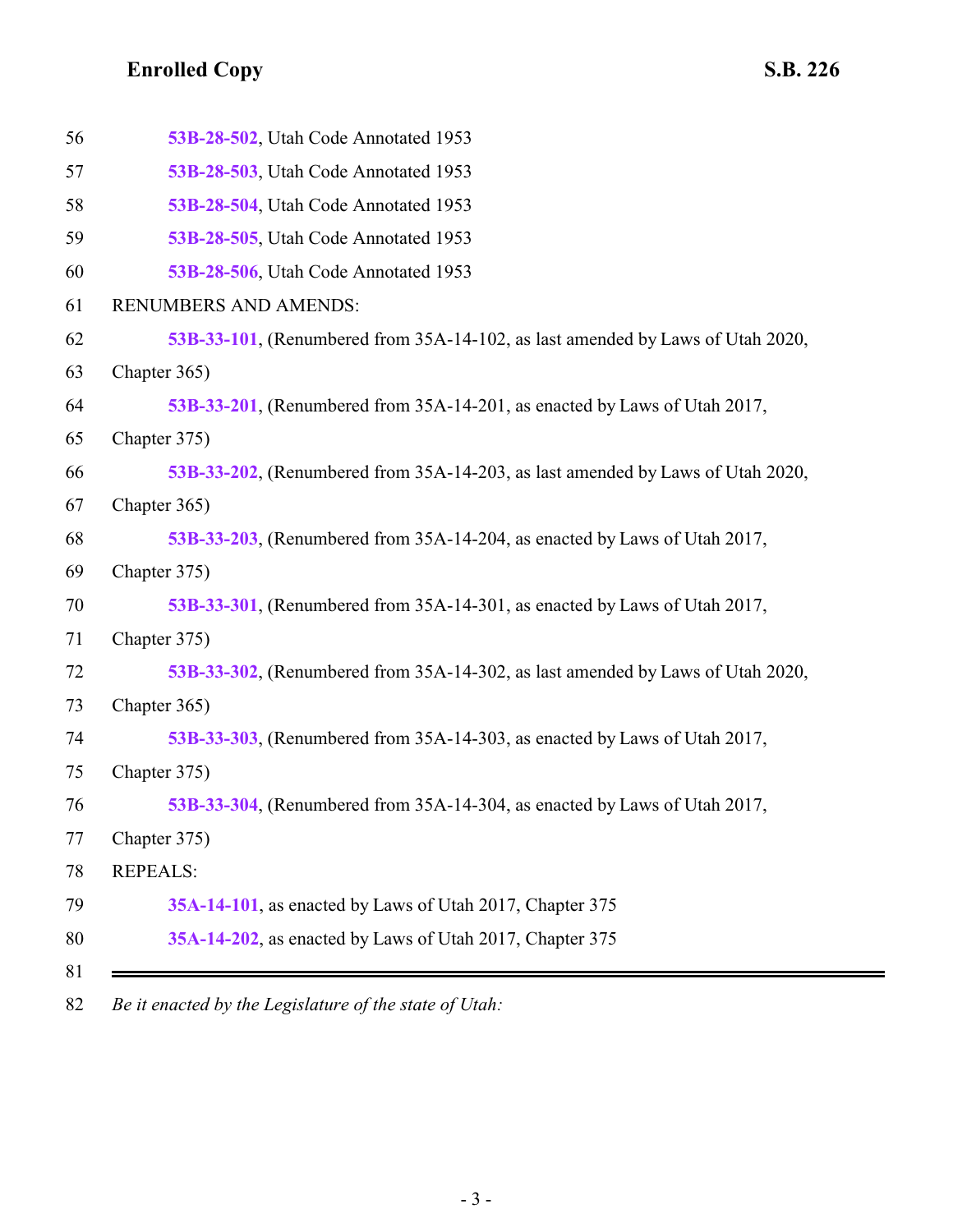| 56 | 53B-28-502, Utah Code Annotated 1953                                           |
|----|--------------------------------------------------------------------------------|
| 57 | 53B-28-503, Utah Code Annotated 1953                                           |
| 58 | 53B-28-504, Utah Code Annotated 1953                                           |
| 59 | 53B-28-505, Utah Code Annotated 1953                                           |
| 60 | 53B-28-506, Utah Code Annotated 1953                                           |
| 61 | <b>RENUMBERS AND AMENDS:</b>                                                   |
| 62 | 53B-33-101, (Renumbered from 35A-14-102, as last amended by Laws of Utah 2020, |
| 63 | Chapter 365)                                                                   |
| 64 | 53B-33-201, (Renumbered from 35A-14-201, as enacted by Laws of Utah 2017,      |
| 65 | Chapter 375)                                                                   |
| 66 | 53B-33-202, (Renumbered from 35A-14-203, as last amended by Laws of Utah 2020, |
| 67 | Chapter 365)                                                                   |
| 68 | 53B-33-203, (Renumbered from 35A-14-204, as enacted by Laws of Utah 2017,      |
| 69 | Chapter 375)                                                                   |
| 70 | 53B-33-301, (Renumbered from 35A-14-301, as enacted by Laws of Utah 2017,      |
| 71 | Chapter 375)                                                                   |
| 72 | 53B-33-302, (Renumbered from 35A-14-302, as last amended by Laws of Utah 2020, |
| 73 | Chapter 365)                                                                   |
| 74 | 53B-33-303, (Renumbered from 35A-14-303, as enacted by Laws of Utah 2017,      |
| 75 | Chapter 375)                                                                   |
| 76 | 53B-33-304, (Renumbered from 35A-14-304, as enacted by Laws of Utah 2017,      |
| 77 | Chapter 375)                                                                   |
| 78 | <b>REPEALS:</b>                                                                |
| 79 | 35A-14-101, as enacted by Laws of Utah 2017, Chapter 375                       |
| 80 | 35A-14-202, as enacted by Laws of Utah 2017, Chapter 375                       |
| 81 |                                                                                |

*Be it enacted by the Legislature of the state of Utah:*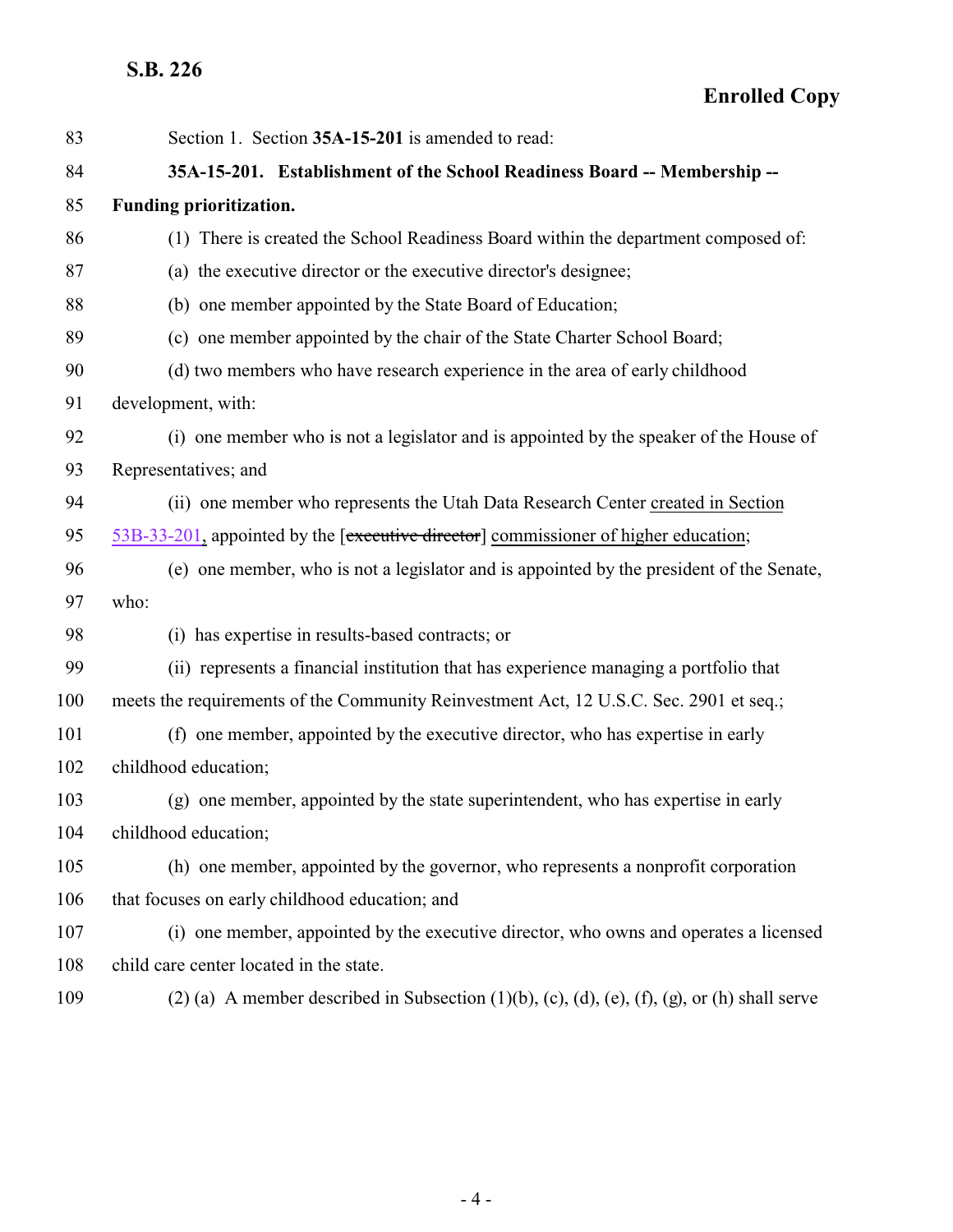<span id="page-3-0"></span>

| 83  | Section 1. Section 35A-15-201 is amended to read:                                                                |
|-----|------------------------------------------------------------------------------------------------------------------|
| 84  | 35A-15-201. Establishment of the School Readiness Board -- Membership --                                         |
| 85  | <b>Funding prioritization.</b>                                                                                   |
| 86  | (1) There is created the School Readiness Board within the department composed of:                               |
| 87  | (a) the executive director or the executive director's designee;                                                 |
| 88  | (b) one member appointed by the State Board of Education;                                                        |
| 89  | (c) one member appointed by the chair of the State Charter School Board;                                         |
| 90  | (d) two members who have research experience in the area of early childhood                                      |
| 91  | development, with:                                                                                               |
| 92  | (i) one member who is not a legislator and is appointed by the speaker of the House of                           |
| 93  | Representatives; and                                                                                             |
| 94  | (ii) one member who represents the Utah Data Research Center created in Section                                  |
| 95  | 53B-33-201, appointed by the [executive director] commissioner of higher education;                              |
| 96  | (e) one member, who is not a legislator and is appointed by the president of the Senate,                         |
| 97  | who:                                                                                                             |
| 98  | (i) has expertise in results-based contracts; or                                                                 |
| 99  | (ii) represents a financial institution that has experience managing a portfolio that                            |
| 100 | meets the requirements of the Community Reinvestment Act, 12 U.S.C. Sec. 2901 et seq.;                           |
| 101 | (f) one member, appointed by the executive director, who has expertise in early                                  |
| 102 | childhood education;                                                                                             |
| 103 | (g) one member, appointed by the state superintendent, who has expertise in early                                |
| 104 | childhood education;                                                                                             |
| 105 | (h) one member, appointed by the governor, who represents a nonprofit corporation                                |
| 106 | that focuses on early childhood education; and                                                                   |
| 107 | (i) one member, appointed by the executive director, who owns and operates a licensed                            |
| 108 | child care center located in the state.                                                                          |
| 109 | (2) (a) A member described in Subsection $(1)(b)$ , $(c)$ , $(d)$ , $(e)$ , $(f)$ , $(g)$ , or $(h)$ shall serve |

- 4 -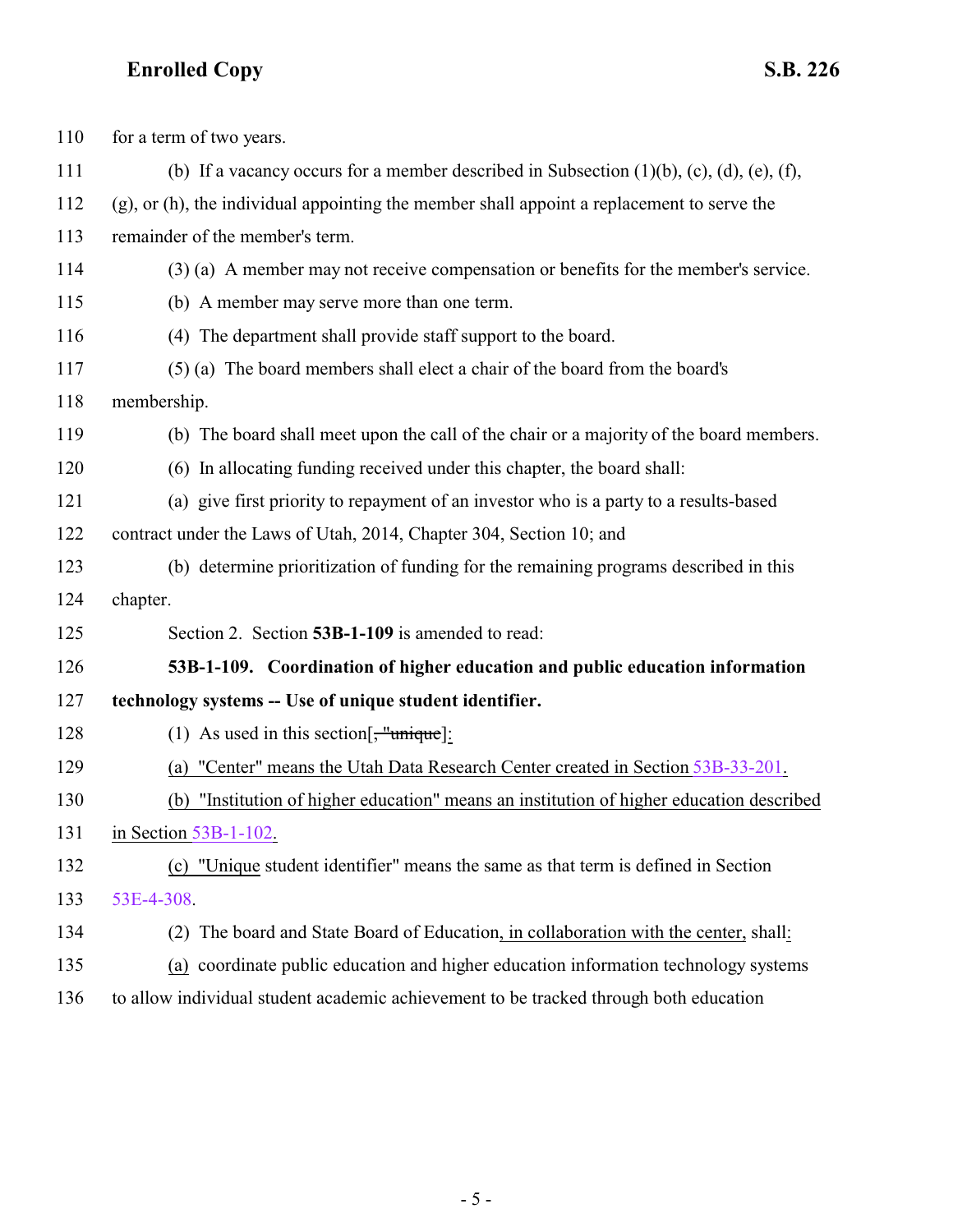| 110 | for a term of two years.                                                                                |
|-----|---------------------------------------------------------------------------------------------------------|
| 111 | (b) If a vacancy occurs for a member described in Subsection $(1)(b)$ , $(c)$ , $(d)$ , $(e)$ , $(f)$ , |
| 112 | (g), or (h), the individual appointing the member shall appoint a replacement to serve the              |
| 113 | remainder of the member's term.                                                                         |
| 114 | (3) (a) A member may not receive compensation or benefits for the member's service.                     |
| 115 | (b) A member may serve more than one term.                                                              |
| 116 | (4) The department shall provide staff support to the board.                                            |
| 117 | (5) (a) The board members shall elect a chair of the board from the board's                             |
| 118 | membership.                                                                                             |
| 119 | (b) The board shall meet upon the call of the chair or a majority of the board members.                 |
| 120 | (6) In allocating funding received under this chapter, the board shall:                                 |
| 121 | (a) give first priority to repayment of an investor who is a party to a results-based                   |
| 122 | contract under the Laws of Utah, 2014, Chapter 304, Section 10; and                                     |
| 123 | (b) determine prioritization of funding for the remaining programs described in this                    |
| 124 | chapter.                                                                                                |
| 125 | Section 2. Section 53B-1-109 is amended to read:                                                        |
| 126 | 53B-1-109. Coordination of higher education and public education information                            |
| 127 | technology systems -- Use of unique student identifier.                                                 |
| 128 | (1) As used in this section $\left[\frac{1}{2}, \frac{1}{2}\right]$ :                                   |
| 129 | (a) "Center" means the Utah Data Research Center created in Section 53B-33-201.                         |
| 130 | (b) "Institution of higher education" means an institution of higher education described                |
| 131 | in Section 53B-1-102.                                                                                   |
| 132 | (c) "Unique student identifier" means the same as that term is defined in Section                       |
| 133 | 53E-4-308.                                                                                              |
| 134 | (2) The board and State Board of Education, in collaboration with the center, shall:                    |
| 135 | (a) coordinate public education and higher education information technology systems                     |
|     |                                                                                                         |

<span id="page-4-0"></span>to allow individual student academic achievement to be tracked through both education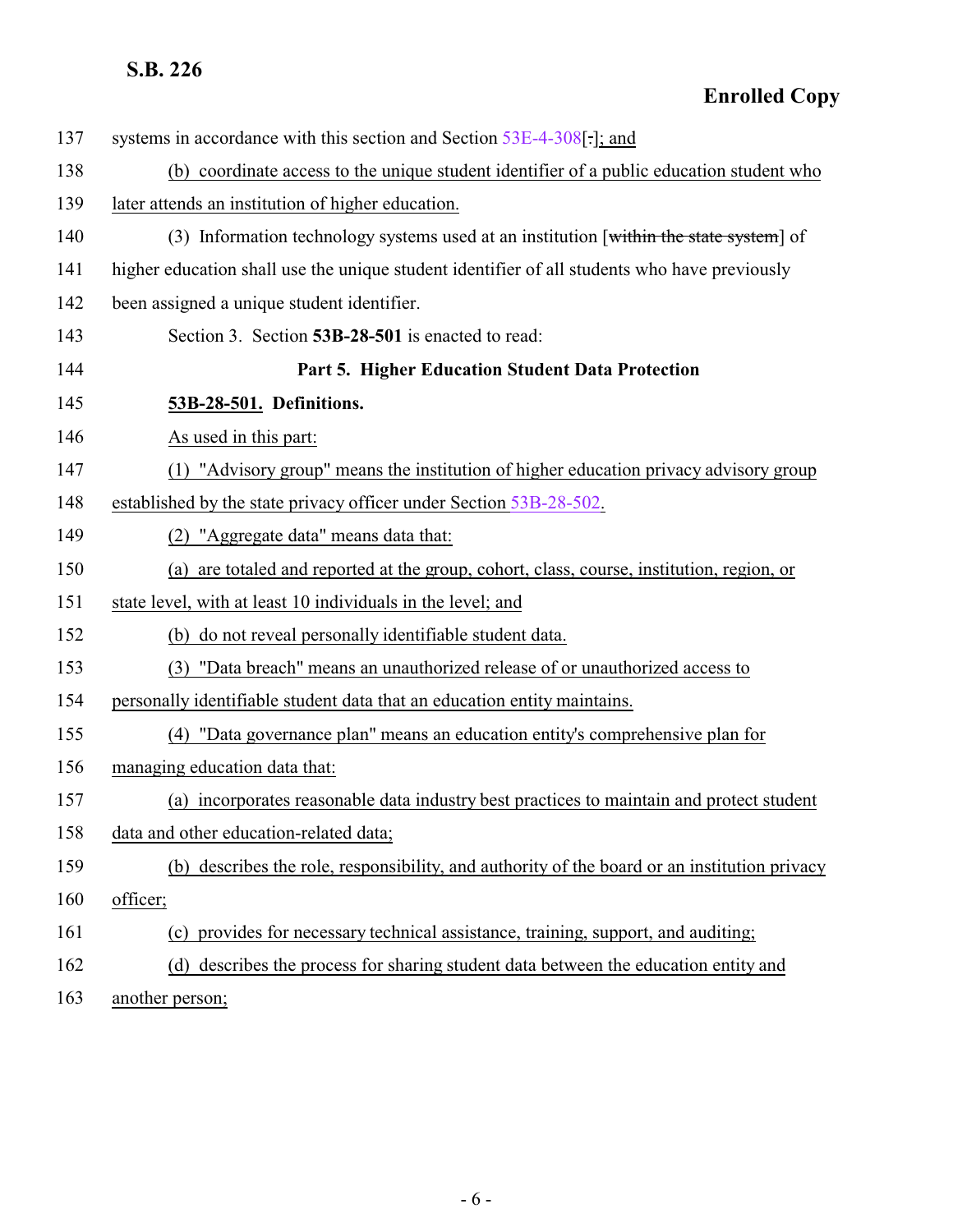<span id="page-5-0"></span>

| 137 | systems in accordance with this section and Section 53E-4-308. [1]; and                      |
|-----|----------------------------------------------------------------------------------------------|
| 138 | (b) coordinate access to the unique student identifier of a public education student who     |
| 139 | later attends an institution of higher education.                                            |
| 140 | (3) Information technology systems used at an institution [within the state system] of       |
| 141 | higher education shall use the unique student identifier of all students who have previously |
| 142 | been assigned a unique student identifier.                                                   |
| 143 | Section 3. Section 53B-28-501 is enacted to read:                                            |
| 144 | Part 5. Higher Education Student Data Protection                                             |
| 145 | 53B-28-501. Definitions.                                                                     |
| 146 | As used in this part:                                                                        |
| 147 | (1) "Advisory group" means the institution of higher education privacy advisory group        |
| 148 | established by the state privacy officer under Section 53B-28-502.                           |
| 149 | (2) "Aggregate data" means data that:                                                        |
| 150 | (a) are totaled and reported at the group, cohort, class, course, institution, region, or    |
| 151 | state level, with at least 10 individuals in the level; and                                  |
| 152 | (b) do not reveal personally identifiable student data.                                      |
| 153 | "Data breach" means an unauthorized release of or unauthorized access to<br>(3)              |
| 154 | personally identifiable student data that an education entity maintains.                     |
| 155 | (4) "Data governance plan" means an education entity's comprehensive plan for                |
| 156 | managing education data that:                                                                |
| 157 | incorporates reasonable data industry best practices to maintain and protect student<br>(a)  |
| 158 | data and other education-related data;                                                       |
| 159 | (b) describes the role, responsibility, and authority of the board or an institution privacy |
| 160 | officer;                                                                                     |
| 161 | (c) provides for necessary technical assistance, training, support, and auditing;            |
| 162 | (d) describes the process for sharing student data between the education entity and          |
| 163 | another person;                                                                              |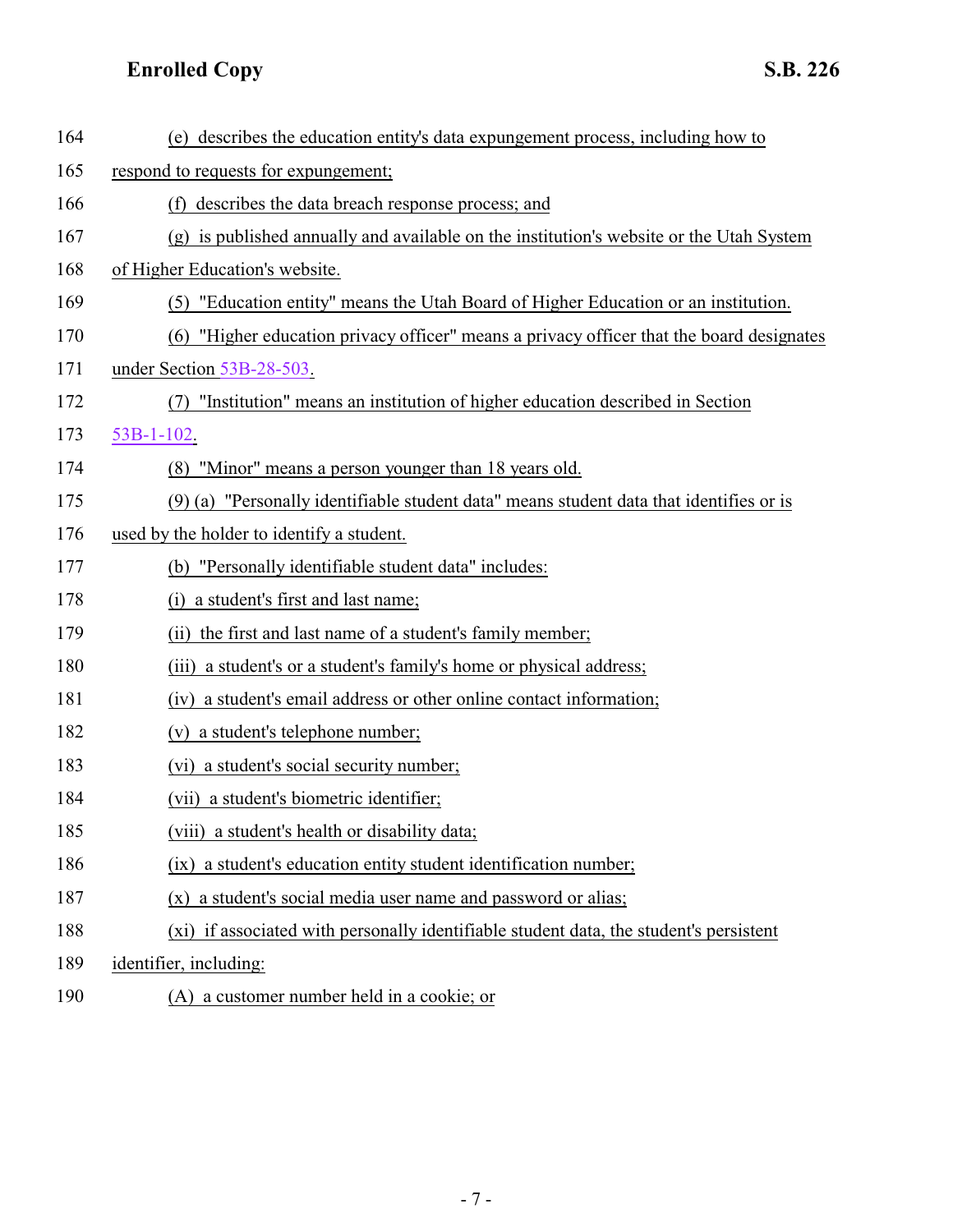| 164 | (e) describes the education entity's data expungement process, including how to             |
|-----|---------------------------------------------------------------------------------------------|
| 165 | respond to requests for expungement;                                                        |
| 166 | (f) describes the data breach response process; and                                         |
| 167 | (g) is published annually and available on the institution's website or the Utah System     |
| 168 | of Higher Education's website.                                                              |
| 169 | "Education entity" means the Utah Board of Higher Education or an institution.<br>(5)       |
| 170 | "Higher education privacy officer" means a privacy officer that the board designates<br>(6) |
| 171 | under Section 53B-28-503.                                                                   |
| 172 | "Institution" means an institution of higher education described in Section                 |
| 173 | 53B-1-102.                                                                                  |
| 174 | (8) "Minor" means a person younger than 18 years old.                                       |
| 175 | (9) (a) "Personally identifiable student data" means student data that identifies or is     |
| 176 | used by the holder to identify a student.                                                   |
| 177 | "Personally identifiable student data" includes:<br>(b)                                     |
| 178 | a student's first and last name;<br>(i)                                                     |
| 179 | the first and last name of a student's family member;<br>(11)                               |
| 180 | a student's or a student's family's home or physical address;<br>(iii)                      |
| 181 | a student's email address or other online contact information;<br>(iv)                      |
| 182 | a student's telephone number;<br>(v)                                                        |
| 183 | (vi) a student's social security number;                                                    |
| 184 | (vii) a student's biometric identifier;                                                     |
| 185 | (viii) a student's health or disability data;                                               |
| 186 | a student's education entity student identification number;<br>(ix)                         |
| 187 | (x) a student's social media user name and password or alias;                               |
| 188 | (xi) if associated with personally identifiable student data, the student's persistent      |
| 189 | identifier, including:                                                                      |
| 190 | (A) a customer number held in a cookie; or                                                  |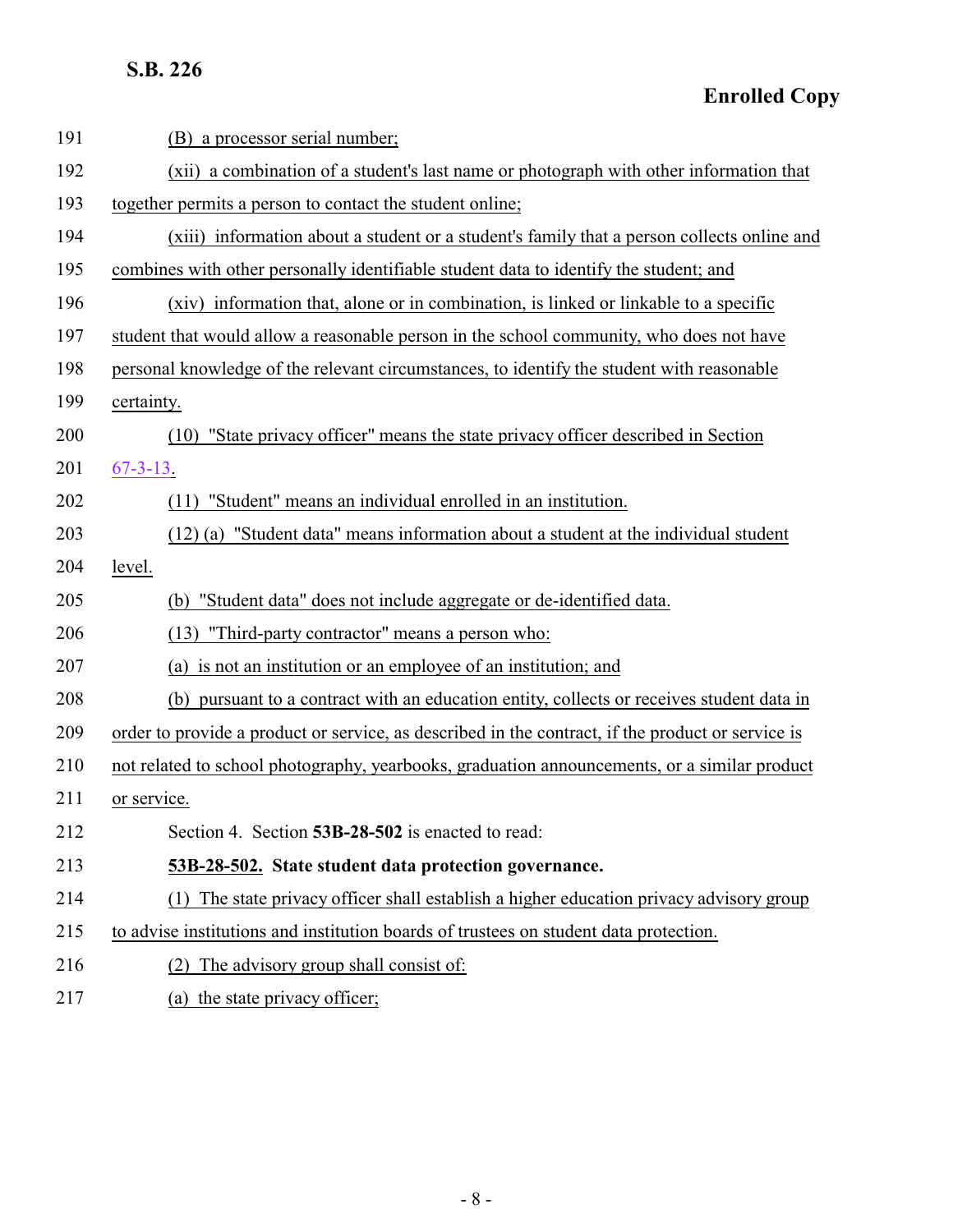<span id="page-7-0"></span>

| 191 | (B) a processor serial number;                                                                    |
|-----|---------------------------------------------------------------------------------------------------|
| 192 | (xii) a combination of a student's last name or photograph with other information that            |
| 193 | together permits a person to contact the student online;                                          |
| 194 | (xiii) information about a student or a student's family that a person collects online and        |
| 195 | combines with other personally identifiable student data to identify the student; and             |
| 196 | (xiv) information that, alone or in combination, is linked or linkable to a specific              |
| 197 | student that would allow a reasonable person in the school community, who does not have           |
| 198 | personal knowledge of the relevant circumstances, to identify the student with reasonable         |
| 199 | certainty.                                                                                        |
| 200 | "State privacy officer" means the state privacy officer described in Section<br>(10)              |
| 201 | $67 - 3 - 13$ .                                                                                   |
| 202 | "Student" means an individual enrolled in an institution.<br>(11)                                 |
| 203 | (12) (a) "Student data" means information about a student at the individual student               |
| 204 | level.                                                                                            |
| 205 | "Student data" does not include aggregate or de-identified data.<br>(b)                           |
| 206 | (13)<br>"Third-party contractor" means a person who:                                              |
| 207 | (a) is not an institution or an employee of an institution; and                                   |
| 208 | (b) pursuant to a contract with an education entity, collects or receives student data in         |
| 209 | order to provide a product or service, as described in the contract, if the product or service is |
| 210 | not related to school photography, yearbooks, graduation announcements, or a similar product      |
| 211 | or service.                                                                                       |
| 212 | Section 4. Section 53B-28-502 is enacted to read:                                                 |
| 213 | 53B-28-502. State student data protection governance.                                             |
| 214 | The state privacy officer shall establish a higher education privacy advisory group<br>(1)        |
| 215 | to advise institutions and institution boards of trustees on student data protection.             |
| 216 | The advisory group shall consist of:<br>(2)                                                       |
| 217 | (a) the state privacy officer;                                                                    |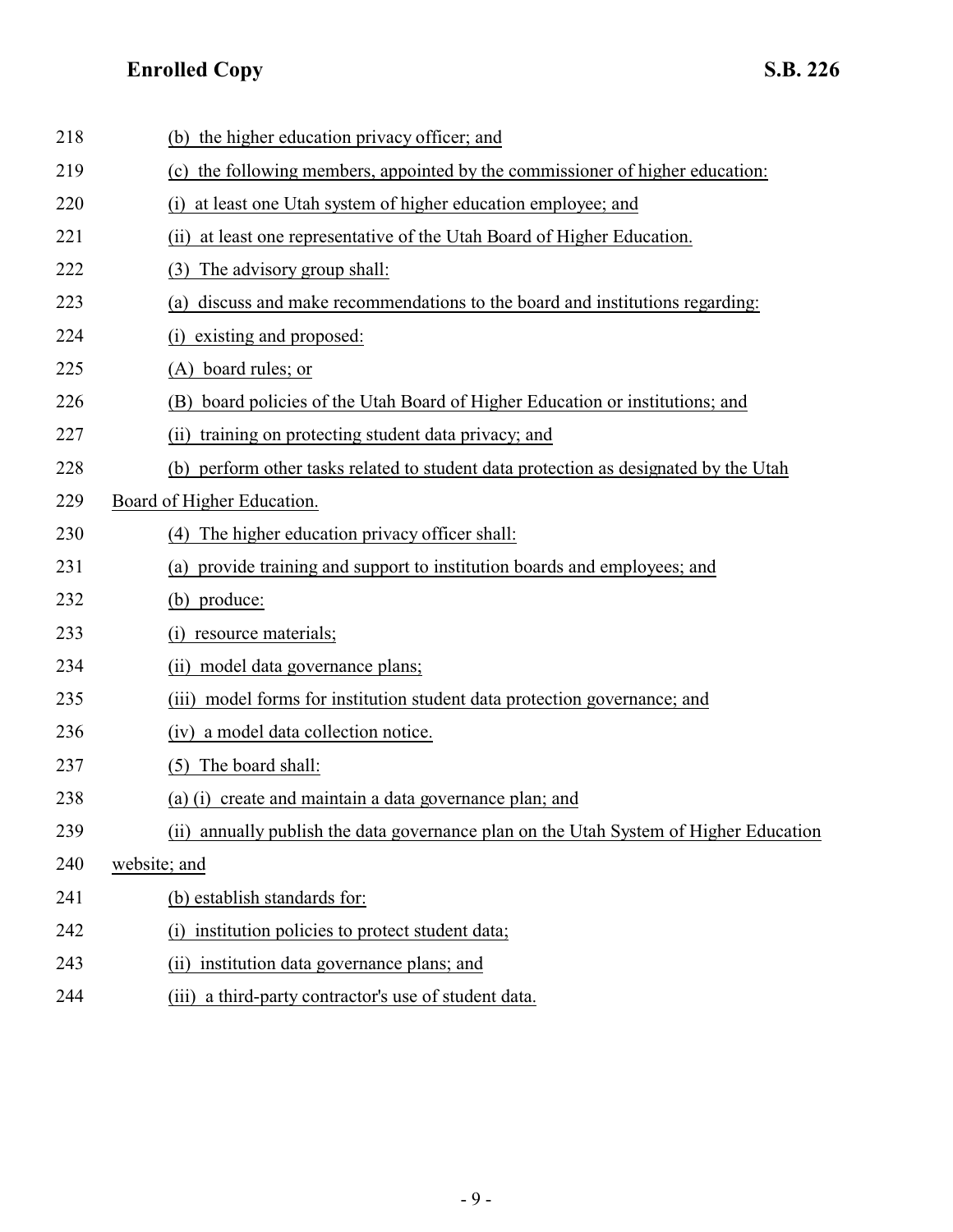| 218 | (b) the higher education privacy officer; and                                         |
|-----|---------------------------------------------------------------------------------------|
| 219 | the following members, appointed by the commissioner of higher education:<br>(c)      |
| 220 | at least one Utah system of higher education employee; and<br>(1)                     |
| 221 | at least one representative of the Utah Board of Higher Education.<br>(i)             |
| 222 | The advisory group shall:<br>(3)                                                      |
| 223 | discuss and make recommendations to the board and institutions regarding:<br>(a)      |
| 224 | existing and proposed:<br>(1)                                                         |
| 225 | (A) board rules; or                                                                   |
| 226 | board policies of the Utah Board of Higher Education or institutions; and<br>(B)      |
| 227 | training on protecting student data privacy; and<br>(ii)                              |
| 228 | (b) perform other tasks related to student data protection as designated by the Utah  |
| 229 | Board of Higher Education.                                                            |
| 230 | The higher education privacy officer shall:<br>(4)                                    |
| 231 | (a) provide training and support to institution boards and employees; and             |
| 232 | (b) produce:                                                                          |
| 233 | resource materials;                                                                   |
| 234 | model data governance plans;<br>(i)                                                   |
| 235 | model forms for institution student data protection governance; and<br>(iii)          |
| 236 | a model data collection notice.<br>(iv)                                               |
| 237 | The board shall:<br>(5)                                                               |
| 238 | (a) (i) create and maintain a data governance plan; and                               |
| 239 | (ii) annually publish the data governance plan on the Utah System of Higher Education |
| 240 | website; and                                                                          |
| 241 | (b) establish standards for:                                                          |
| 242 | institution policies to protect student data;<br>(i)                                  |
| 243 | institution data governance plans; and<br>(ii)                                        |
| 244 | a third-party contractor's use of student data.<br>(iii)                              |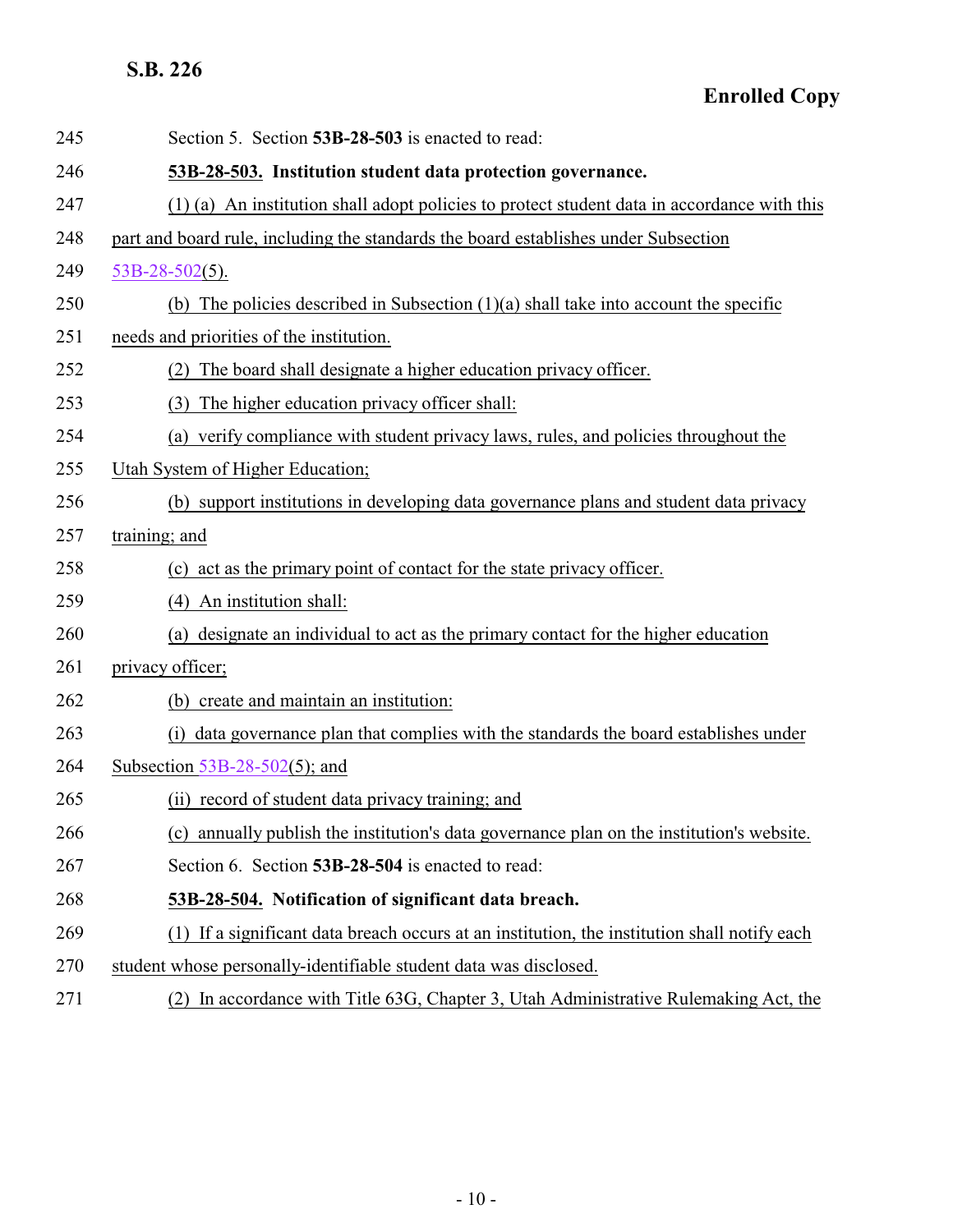<span id="page-9-1"></span><span id="page-9-0"></span>

| 245 | Section 5. Section 53B-28-503 is enacted to read:                                            |
|-----|----------------------------------------------------------------------------------------------|
| 246 | 53B-28-503. Institution student data protection governance.                                  |
| 247 | (1) (a) An institution shall adopt policies to protect student data in accordance with this  |
| 248 | part and board rule, including the standards the board establishes under Subsection          |
| 249 | $53B-28-502(5)$ .                                                                            |
| 250 | (b) The policies described in Subsection $(1)(a)$ shall take into account the specific       |
| 251 | needs and priorities of the institution.                                                     |
| 252 | The board shall designate a higher education privacy officer.                                |
| 253 | The higher education privacy officer shall:<br>(3)                                           |
| 254 | (a) verify compliance with student privacy laws, rules, and policies throughout the          |
| 255 | Utah System of Higher Education;                                                             |
| 256 | (b) support institutions in developing data governance plans and student data privacy        |
| 257 | training; and                                                                                |
| 258 | (c) act as the primary point of contact for the state privacy officer.                       |
| 259 | (4) An institution shall:                                                                    |
| 260 | (a) designate an individual to act as the primary contact for the higher education           |
| 261 | privacy officer;                                                                             |
| 262 | (b) create and maintain an institution:                                                      |
| 263 | data governance plan that complies with the standards the board establishes under<br>(i)     |
| 264 | Subsection $53B-28-502(5)$ ; and                                                             |
| 265 | (ii) record of student data privacy training; and                                            |
| 266 | (c) annually publish the institution's data governance plan on the institution's website.    |
| 267 | Section 6. Section 53B-28-504 is enacted to read:                                            |
| 268 | 53B-28-504. Notification of significant data breach.                                         |
| 269 | (1) If a significant data breach occurs at an institution, the institution shall notify each |
| 270 | student whose personally-identifiable student data was disclosed.                            |
| 271 | (2) In accordance with Title 63G, Chapter 3, Utah Administrative Rulemaking Act, the         |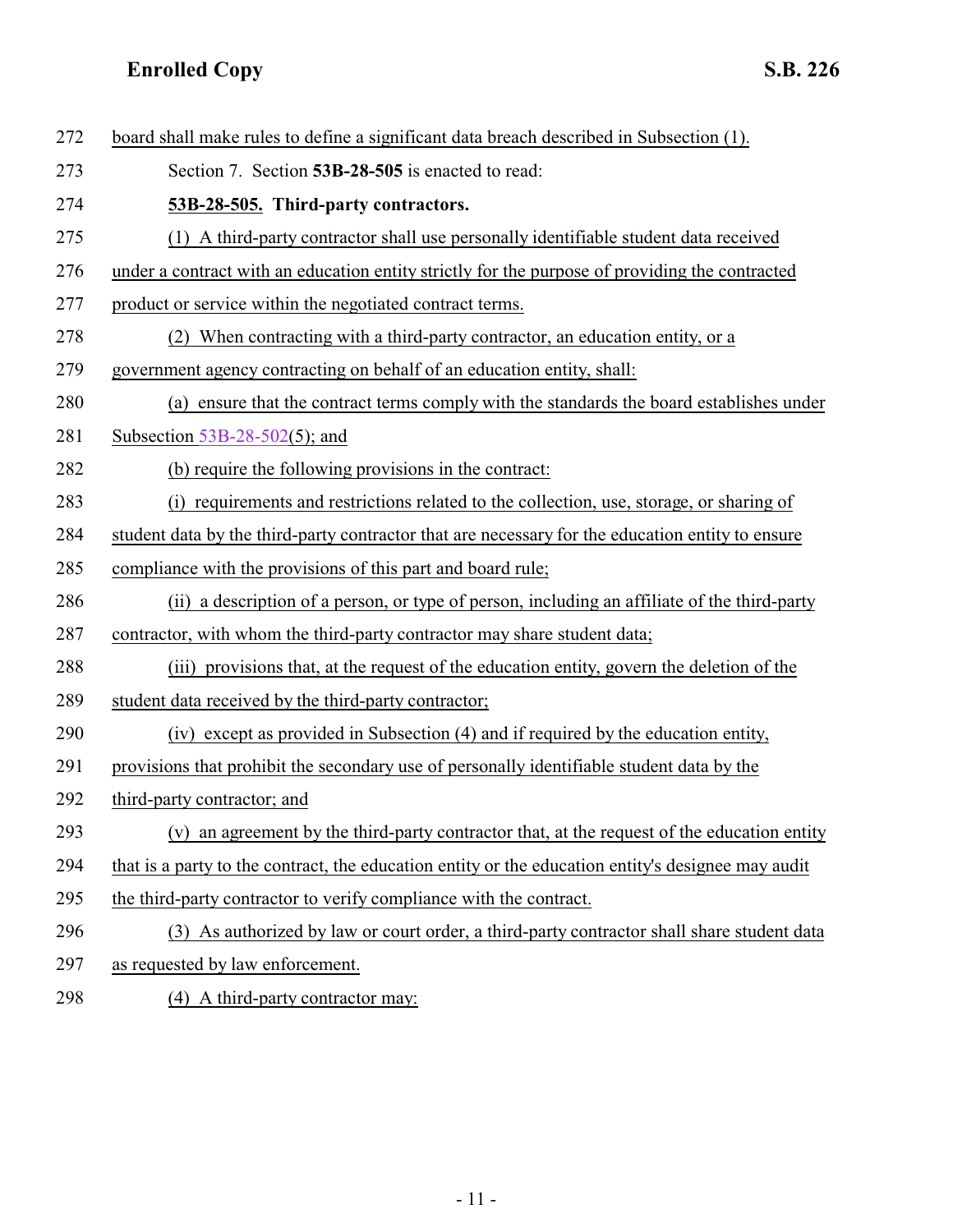<span id="page-10-0"></span>

| 272 | board shall make rules to define a significant data breach described in Subsection (1).            |
|-----|----------------------------------------------------------------------------------------------------|
| 273 | Section 7. Section 53B-28-505 is enacted to read:                                                  |
| 274 | 53B-28-505. Third-party contractors.                                                               |
| 275 | (1) A third-party contractor shall use personally identifiable student data received               |
| 276 | under a contract with an education entity strictly for the purpose of providing the contracted     |
| 277 | product or service within the negotiated contract terms.                                           |
| 278 | When contracting with a third-party contractor, an education entity, or a<br>(2)                   |
| 279 | government agency contracting on behalf of an education entity, shall:                             |
| 280 | (a) ensure that the contract terms comply with the standards the board establishes under           |
| 281 | Subsection $53B-28-502(5)$ ; and                                                                   |
| 282 | (b) require the following provisions in the contract:                                              |
| 283 | (i) requirements and restrictions related to the collection, use, storage, or sharing of           |
| 284 | student data by the third-party contractor that are necessary for the education entity to ensure   |
| 285 | compliance with the provisions of this part and board rule;                                        |
| 286 | (ii) a description of a person, or type of person, including an affiliate of the third-party       |
| 287 | contractor, with whom the third-party contractor may share student data;                           |
| 288 | (iii) provisions that, at the request of the education entity, govern the deletion of the          |
| 289 | student data received by the third-party contractor;                                               |
| 290 | (iv) except as provided in Subsection (4) and if required by the education entity,                 |
| 291 | provisions that prohibit the secondary use of personally identifiable student data by the          |
| 292 | third-party contractor; and                                                                        |
| 293 | (v) an agreement by the third-party contractor that, at the request of the education entity        |
| 294 | that is a party to the contract, the education entity or the education entity's designee may audit |
| 295 | the third-party contractor to verify compliance with the contract.                                 |
| 296 | (3) As authorized by law or court order, a third-party contractor shall share student data         |
| 297 | as requested by law enforcement.                                                                   |
| 298 | (4) A third-party contractor may:                                                                  |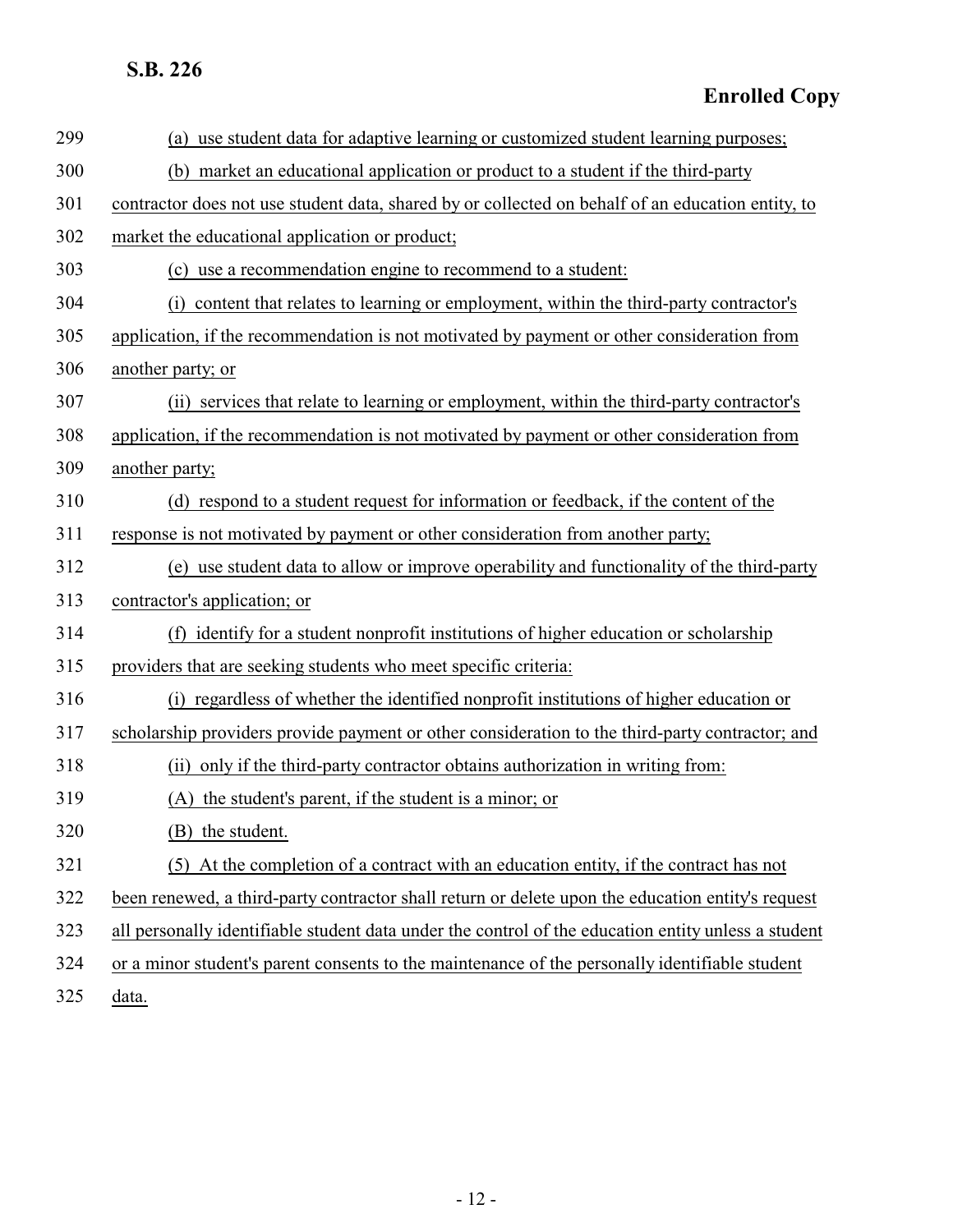| 299 | (a) use student data for adaptive learning or customized student learning purposes;                 |
|-----|-----------------------------------------------------------------------------------------------------|
| 300 | (b) market an educational application or product to a student if the third-party                    |
| 301 | contractor does not use student data, shared by or collected on behalf of an education entity, to   |
| 302 | market the educational application or product;                                                      |
| 303 | (c) use a recommendation engine to recommend to a student:                                          |
| 304 | content that relates to learning or employment, within the third-party contractor's<br>(i)          |
| 305 | application, if the recommendation is not motivated by payment or other consideration from          |
| 306 | another party; or                                                                                   |
| 307 | (ii) services that relate to learning or employment, within the third-party contractor's            |
| 308 | application, if the recommendation is not motivated by payment or other consideration from          |
| 309 | another party;                                                                                      |
| 310 | (d) respond to a student request for information or feedback, if the content of the                 |
| 311 | response is not motivated by payment or other consideration from another party;                     |
| 312 | (e) use student data to allow or improve operability and functionality of the third-party           |
| 313 | contractor's application; or                                                                        |
| 314 | (f) identify for a student nonprofit institutions of higher education or scholarship                |
| 315 | providers that are seeking students who meet specific criteria:                                     |
| 316 | (i) regardless of whether the identified nonprofit institutions of higher education or              |
| 317 | scholarship providers provide payment or other consideration to the third-party contractor; and     |
| 318 | (ii) only if the third-party contractor obtains authorization in writing from:                      |
| 319 | (A) the student's parent, if the student is a minor; or                                             |
| 320 | the student.<br>(B)                                                                                 |
| 321 | (5) At the completion of a contract with an education entity, if the contract has not               |
| 322 | been renewed, a third-party contractor shall return or delete upon the education entity's request   |
| 323 | all personally identifiable student data under the control of the education entity unless a student |
| 324 | or a minor student's parent consents to the maintenance of the personally identifiable student      |
| 325 | data.                                                                                               |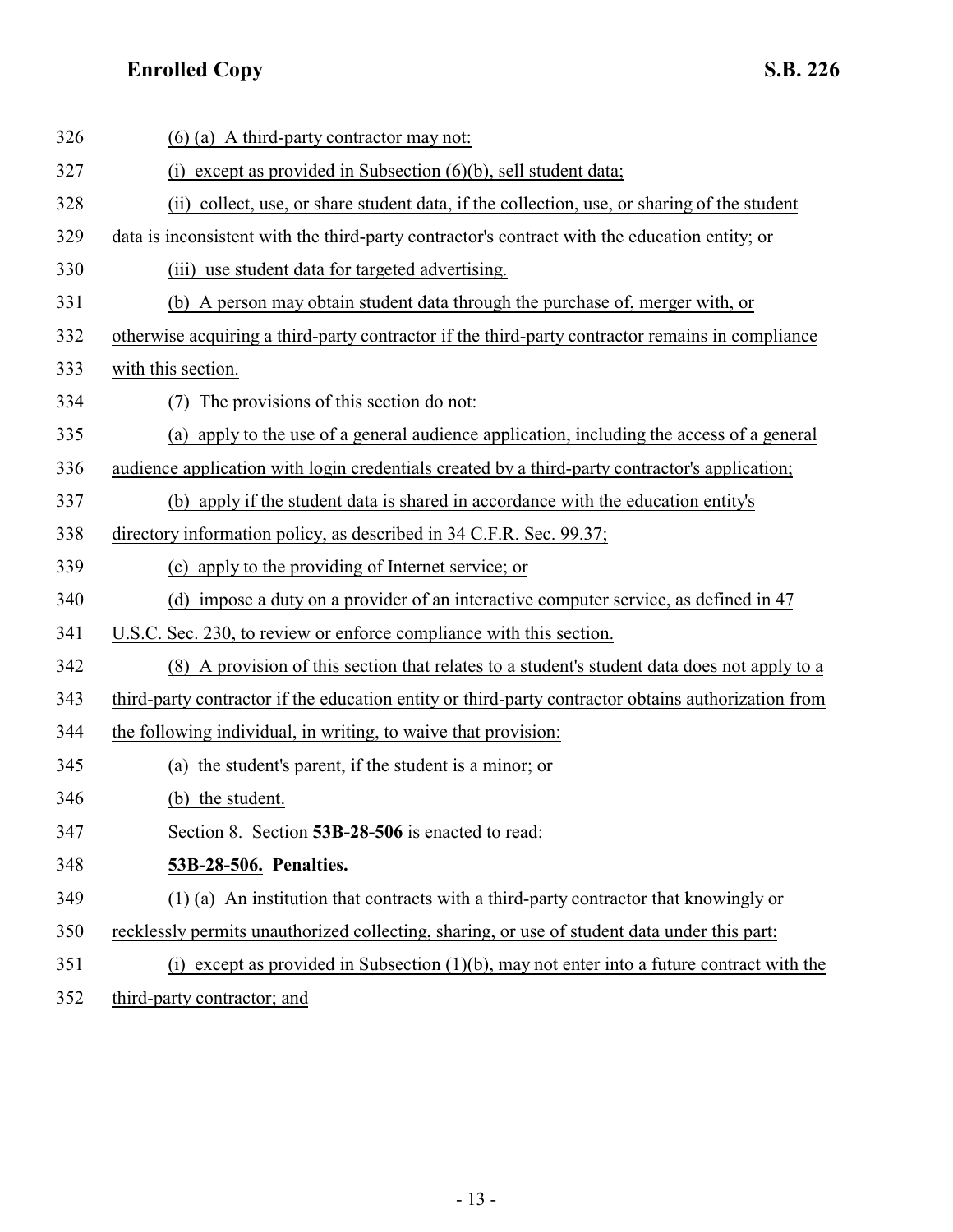| 326 | $(6)$ (a) A third-party contractor may not:                                                         |
|-----|-----------------------------------------------------------------------------------------------------|
| 327 | except as provided in Subsection $(6)(b)$ , sell student data;<br>(i)                               |
| 328 | collect, use, or share student data, if the collection, use, or sharing of the student<br>(i)       |
| 329 | data is inconsistent with the third-party contractor's contract with the education entity; or       |
| 330 | (iii) use student data for targeted advertising.                                                    |
| 331 | A person may obtain student data through the purchase of, merger with, or<br>(b)                    |
| 332 | otherwise acquiring a third-party contractor if the third-party contractor remains in compliance    |
| 333 | with this section.                                                                                  |
| 334 | The provisions of this section do not:                                                              |
| 335 | (a) apply to the use of a general audience application, including the access of a general           |
| 336 | audience application with login credentials created by a third-party contractor's application;      |
| 337 | (b) apply if the student data is shared in accordance with the education entity's                   |
| 338 | directory information policy, as described in 34 C.F.R. Sec. 99.37;                                 |
| 339 | (c) apply to the providing of Internet service; or                                                  |
| 340 | (d) impose a duty on a provider of an interactive computer service, as defined in 47                |
| 341 | U.S.C. Sec. 230, to review or enforce compliance with this section.                                 |
| 342 | (8) A provision of this section that relates to a student's student data does not apply to a        |
| 343 | third-party contractor if the education entity or third-party contractor obtains authorization from |
| 344 | the following individual, in writing, to waive that provision:                                      |
| 345 | (a) the student's parent, if the student is a minor; or                                             |
| 346 | (b) the student.                                                                                    |
| 347 | Section 8. Section 53B-28-506 is enacted to read:                                                   |
| 348 | 53B-28-506. Penalties.                                                                              |
| 349 | (1) (a) An institution that contracts with a third-party contractor that knowingly or               |
| 350 | recklessly permits unauthorized collecting, sharing, or use of student data under this part:        |
| 351 | (i) except as provided in Subsection $(1)(b)$ , may not enter into a future contract with the       |
|     |                                                                                                     |

<span id="page-12-0"></span>352 third-party contractor; and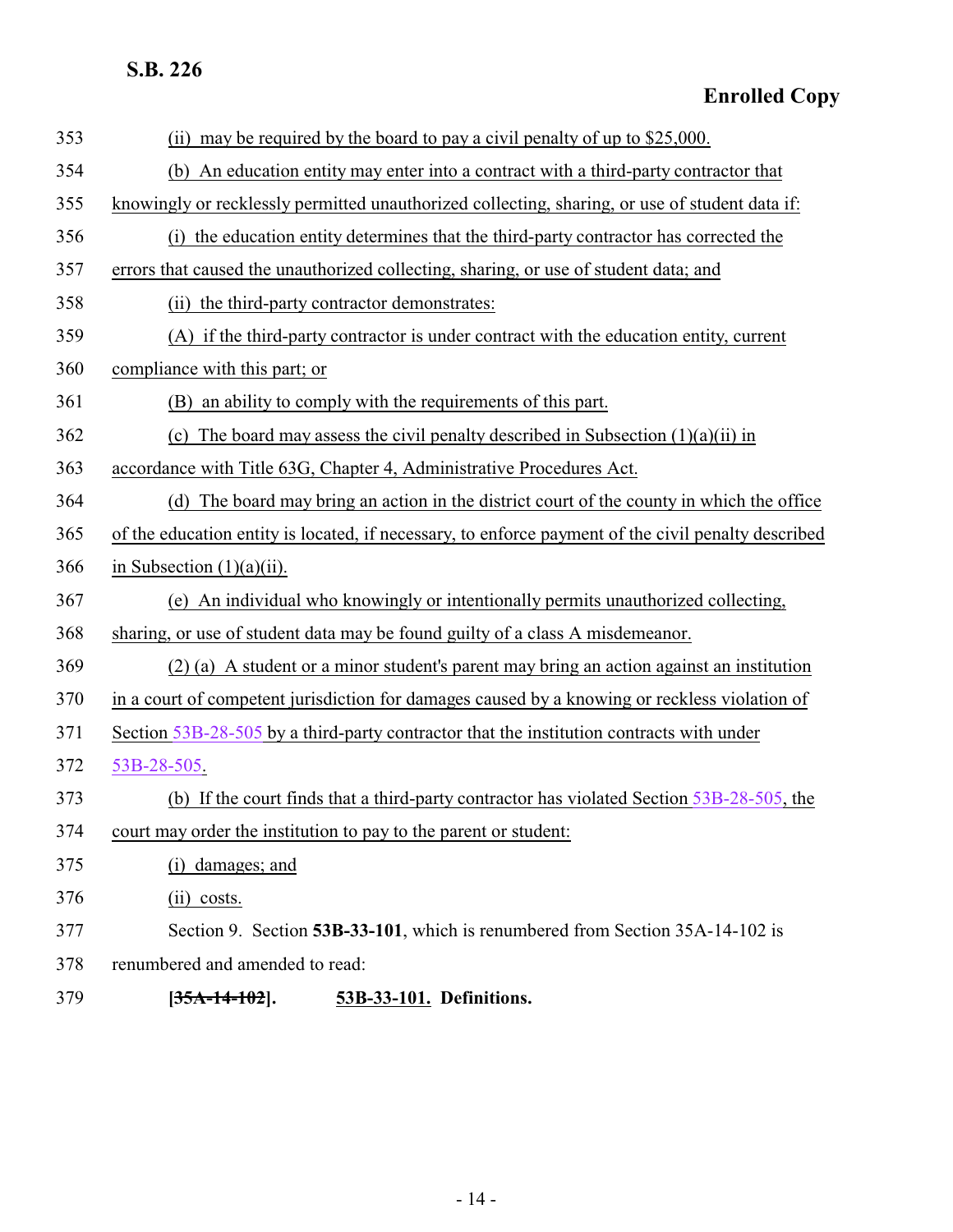| 353 | (ii) may be required by the board to pay a civil penalty of up to \$25,000.                         |
|-----|-----------------------------------------------------------------------------------------------------|
| 354 | (b) An education entity may enter into a contract with a third-party contractor that                |
| 355 | knowingly or recklessly permitted unauthorized collecting, sharing, or use of student data if:      |
| 356 | (i) the education entity determines that the third-party contractor has corrected the               |
| 357 | errors that caused the unauthorized collecting, sharing, or use of student data; and                |
| 358 | (ii) the third-party contractor demonstrates:                                                       |
| 359 | (A) if the third-party contractor is under contract with the education entity, current              |
| 360 | compliance with this part; or                                                                       |
| 361 | (B) an ability to comply with the requirements of this part.                                        |
| 362 | (c) The board may assess the civil penalty described in Subsection $(1)(a)(ii)$ in                  |
| 363 | accordance with Title 63G, Chapter 4, Administrative Procedures Act.                                |
| 364 | (d) The board may bring an action in the district court of the county in which the office           |
| 365 | of the education entity is located, if necessary, to enforce payment of the civil penalty described |
| 366 | in Subsection $(1)(a)(ii)$ .                                                                        |
| 367 | (e) An individual who knowingly or intentionally permits unauthorized collecting,                   |
| 368 | sharing, or use of student data may be found guilty of a class A misdemeanor.                       |
| 369 | (2) (a) A student or a minor student's parent may bring an action against an institution            |
| 370 | in a court of competent jurisdiction for damages caused by a knowing or reckless violation of       |
| 371 | Section 53B-28-505 by a third-party contractor that the institution contracts with under            |
| 372 | 53B-28-505.                                                                                         |
| 373 | (b) If the court finds that a third-party contractor has violated Section 53B-28-505, the           |
| 374 | court may order the institution to pay to the parent or student:                                    |
| 375 | (i) damages; and                                                                                    |
| 376 | $(ii) \; \text{costs.}$                                                                             |
| 377 | Section 9. Section 53B-33-101, which is renumbered from Section 35A-14-102 is                       |
| 378 | renumbered and amended to read:                                                                     |
|     |                                                                                                     |

<span id="page-13-0"></span>**[35A-14-102]. 53B-33-101. Definitions.**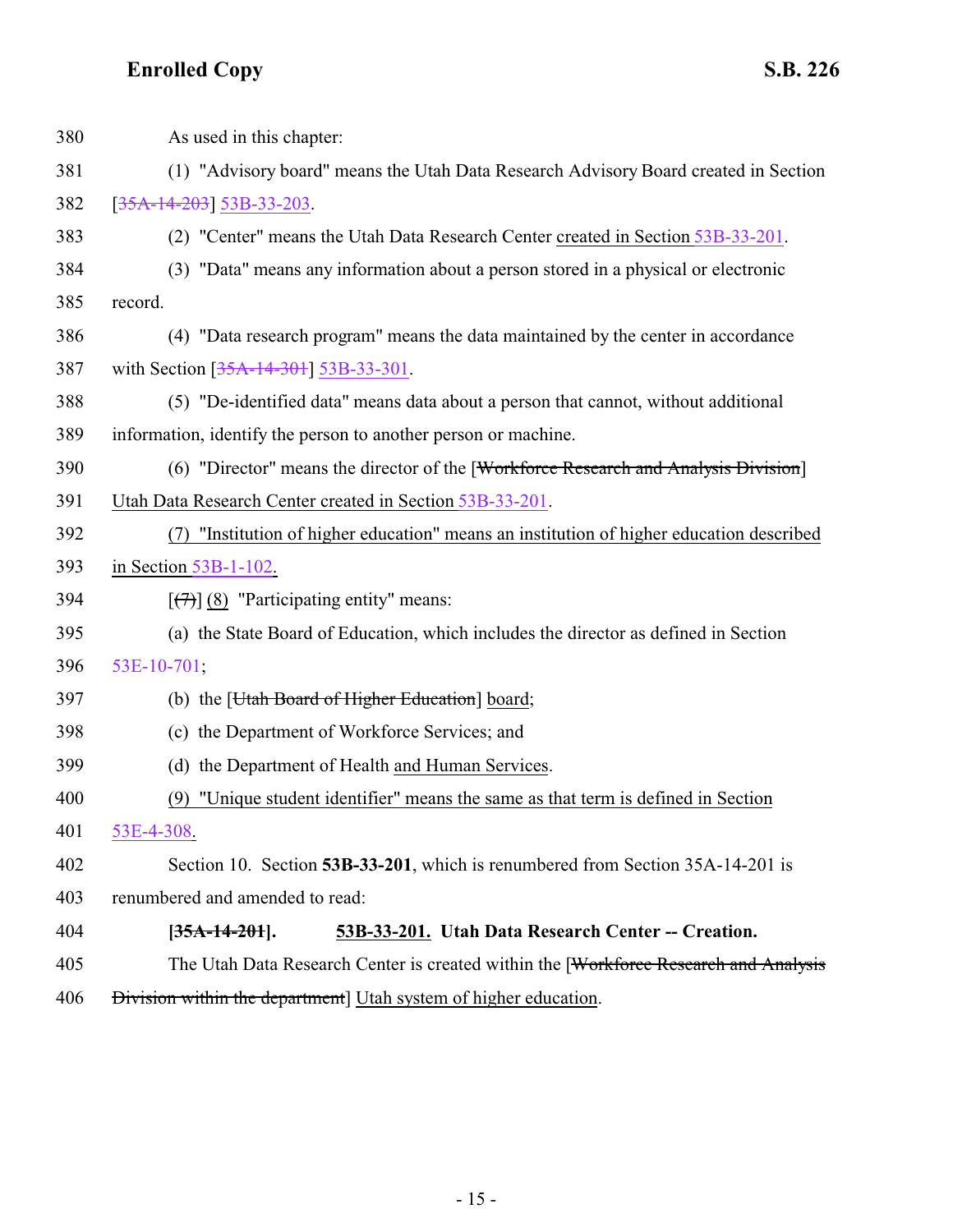<span id="page-14-0"></span>

| 380 | As used in this chapter:                                                             |
|-----|--------------------------------------------------------------------------------------|
| 381 | (1) "Advisory board" means the Utah Data Research Advisory Board created in Section  |
| 382 | $[35A-14-203]$ 53B-33-203.                                                           |
| 383 | (2) "Center" means the Utah Data Research Center created in Section 53B-33-201.      |
| 384 | (3) "Data" means any information about a person stored in a physical or electronic   |
| 385 | record.                                                                              |
| 386 | (4) "Data research program" means the data maintained by the center in accordance    |
| 387 | with Section [35A-14-301] 53B-33-301.                                                |
| 388 | (5) "De-identified data" means data about a person that cannot, without additional   |
| 389 | information, identify the person to another person or machine.                       |
| 390 | (6) "Director" means the director of the [Workforce Research and Analysis Division]  |
| 391 | Utah Data Research Center created in Section 53B-33-201.                             |
| 392 | "Institution of higher education" means an institution of higher education described |
| 393 | in Section $53B-1-102$ .                                                             |
| 394 | $[\overline{(+)}]$ (8) "Participating entity" means:                                 |
| 395 | (a) the State Board of Education, which includes the director as defined in Section  |
| 396 | 53E-10-701;                                                                          |
| 397 | (b) the [ <i>Utah Board of Higher Education</i> ] board;                             |
| 398 | (c) the Department of Workforce Services; and                                        |
| 399 | (d) the Department of Health and Human Services.                                     |
| 400 | "Unique student identifier" means the same as that term is defined in Section<br>(9) |
| 401 | 53E-4-308.                                                                           |
| 402 | Section 10. Section 53B-33-201, which is renumbered from Section 35A-14-201 is       |
| 403 | renumbered and amended to read:                                                      |
| 404 | 53B-33-201. Utah Data Research Center -- Creation.<br>$[35A-14-201]$ .               |
| 405 | The Utah Data Research Center is created within the [Workforce Research and Analysis |
| 406 | Division within the department] Utah system of higher education.                     |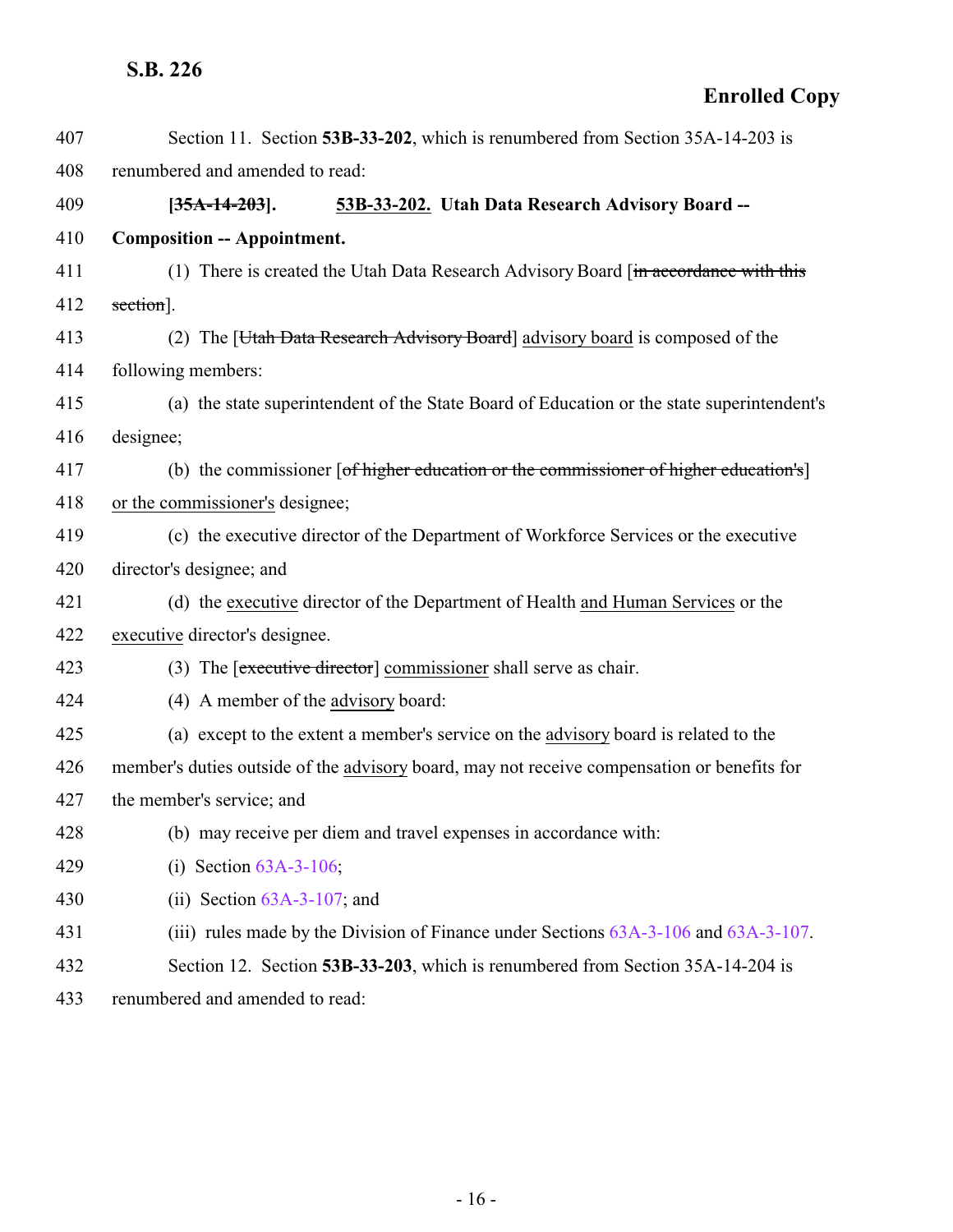<span id="page-15-1"></span><span id="page-15-0"></span>

| 407 | Section 11. Section 53B-33-202, which is renumbered from Section 35A-14-203 is              |
|-----|---------------------------------------------------------------------------------------------|
| 408 | renumbered and amended to read:                                                             |
| 409 | 53B-33-202. Utah Data Research Advisory Board --<br>$[35A-14-203]$ .                        |
| 410 | <b>Composition -- Appointment.</b>                                                          |
| 411 | (1) There is created the Utah Data Research Advisory Board [in accordance with this         |
| 412 | section].                                                                                   |
| 413 | (2) The [ <i>Utah Data Research Advisory Board</i> ] advisory board is composed of the      |
| 414 | following members:                                                                          |
| 415 | (a) the state superintendent of the State Board of Education or the state superintendent's  |
| 416 | designee;                                                                                   |
| 417 | (b) the commissioner [of higher education or the commissioner of higher education's]        |
| 418 | or the commissioner's designee;                                                             |
| 419 | (c) the executive director of the Department of Workforce Services or the executive         |
| 420 | director's designee; and                                                                    |
| 421 | (d) the executive director of the Department of Health and Human Services or the            |
| 422 | executive director's designee.                                                              |
| 423 | (3) The [executive director] commissioner shall serve as chair.                             |
| 424 | (4) A member of the advisory board:                                                         |
| 425 | (a) except to the extent a member's service on the advisory board is related to the         |
| 426 | member's duties outside of the advisory board, may not receive compensation or benefits for |
| 427 | the member's service; and                                                                   |
| 428 | (b) may receive per diem and travel expenses in accordance with:                            |
| 429 | Section 63A-3-106;<br>(i)                                                                   |
| 430 | (ii) Section $63A-3-107$ ; and                                                              |
| 431 | (iii) rules made by the Division of Finance under Sections $63A-3-106$ and $63A-3-107$ .    |
| 432 | Section 12. Section 53B-33-203, which is renumbered from Section 35A-14-204 is              |
| 433 | renumbered and amended to read:                                                             |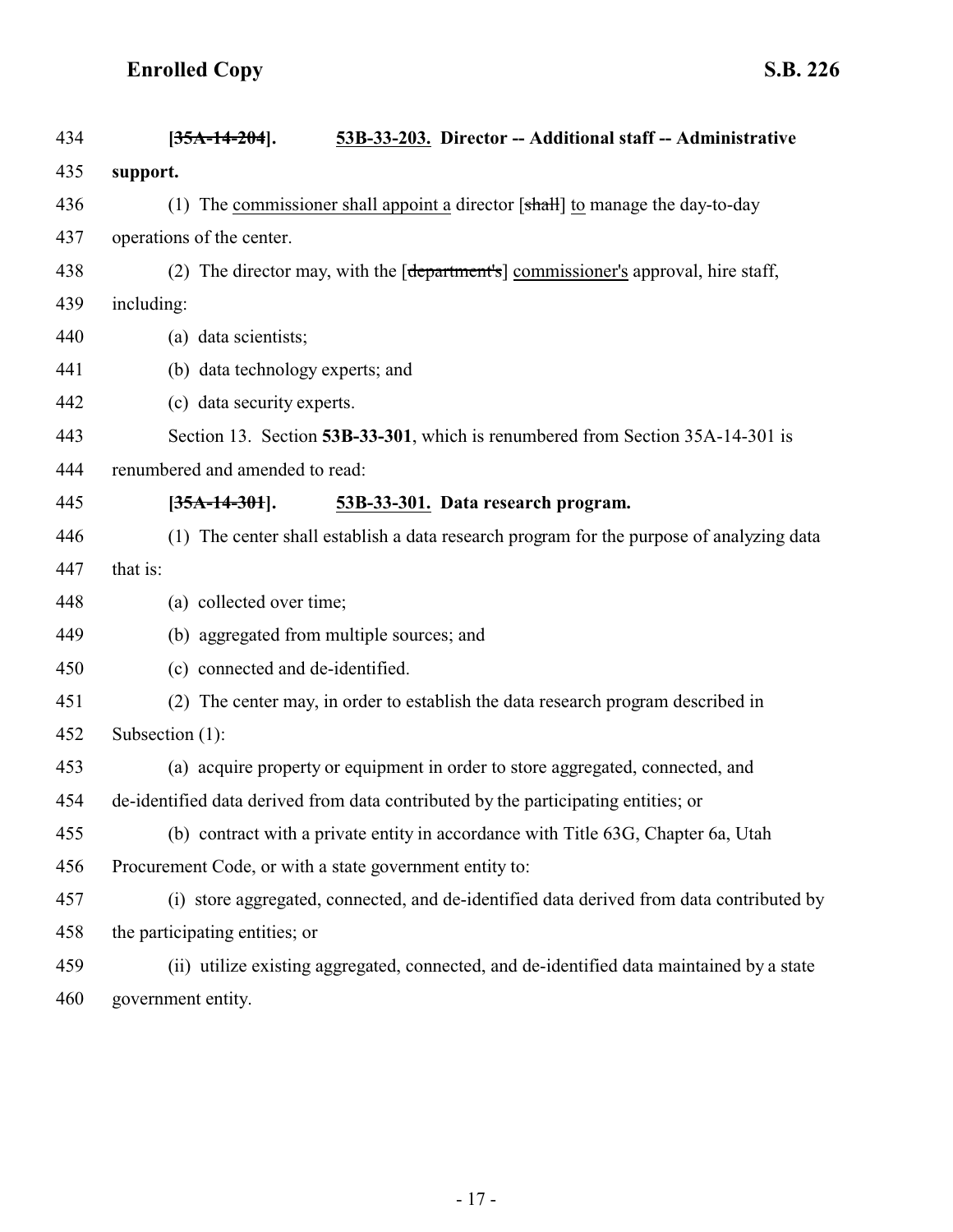<span id="page-16-0"></span>

| 434 | 53B-33-203. Director -- Additional staff -- Administrative<br>$[35A-14-204]$ .                  |
|-----|-------------------------------------------------------------------------------------------------|
| 435 | support.                                                                                        |
| 436 | (1) The commissioner shall appoint a director $[\text{shall}]$ to manage the day-to-day         |
| 437 | operations of the center.                                                                       |
| 438 | (2) The director may, with the [ <del>department's</del> ] commissioner's approval, hire staff, |
| 439 | including:                                                                                      |
| 440 | (a) data scientists;                                                                            |
| 441 | (b) data technology experts; and                                                                |
| 442 | (c) data security experts.                                                                      |
| 443 | Section 13. Section 53B-33-301, which is renumbered from Section 35A-14-301 is                  |
| 444 | renumbered and amended to read:                                                                 |
| 445 | 53B-33-301. Data research program.<br>$[35A-14-301]$ .                                          |
| 446 | (1) The center shall establish a data research program for the purpose of analyzing data        |
| 447 | that is:                                                                                        |
| 448 | (a) collected over time;                                                                        |
| 449 | (b) aggregated from multiple sources; and                                                       |
| 450 | (c) connected and de-identified.                                                                |
| 451 | (2) The center may, in order to establish the data research program described in                |
| 452 | Subsection $(1)$ :                                                                              |
| 453 | (a) acquire property or equipment in order to store aggregated, connected, and                  |
| 454 | de-identified data derived from data contributed by the participating entities; or              |
| 455 | (b) contract with a private entity in accordance with Title 63G, Chapter 6a, Utah               |
| 456 | Procurement Code, or with a state government entity to:                                         |
| 457 | (i) store aggregated, connected, and de-identified data derived from data contributed by        |
| 458 | the participating entities; or                                                                  |
| 459 | (ii) utilize existing aggregated, connected, and de-identified data maintained by a state       |
| 460 | government entity.                                                                              |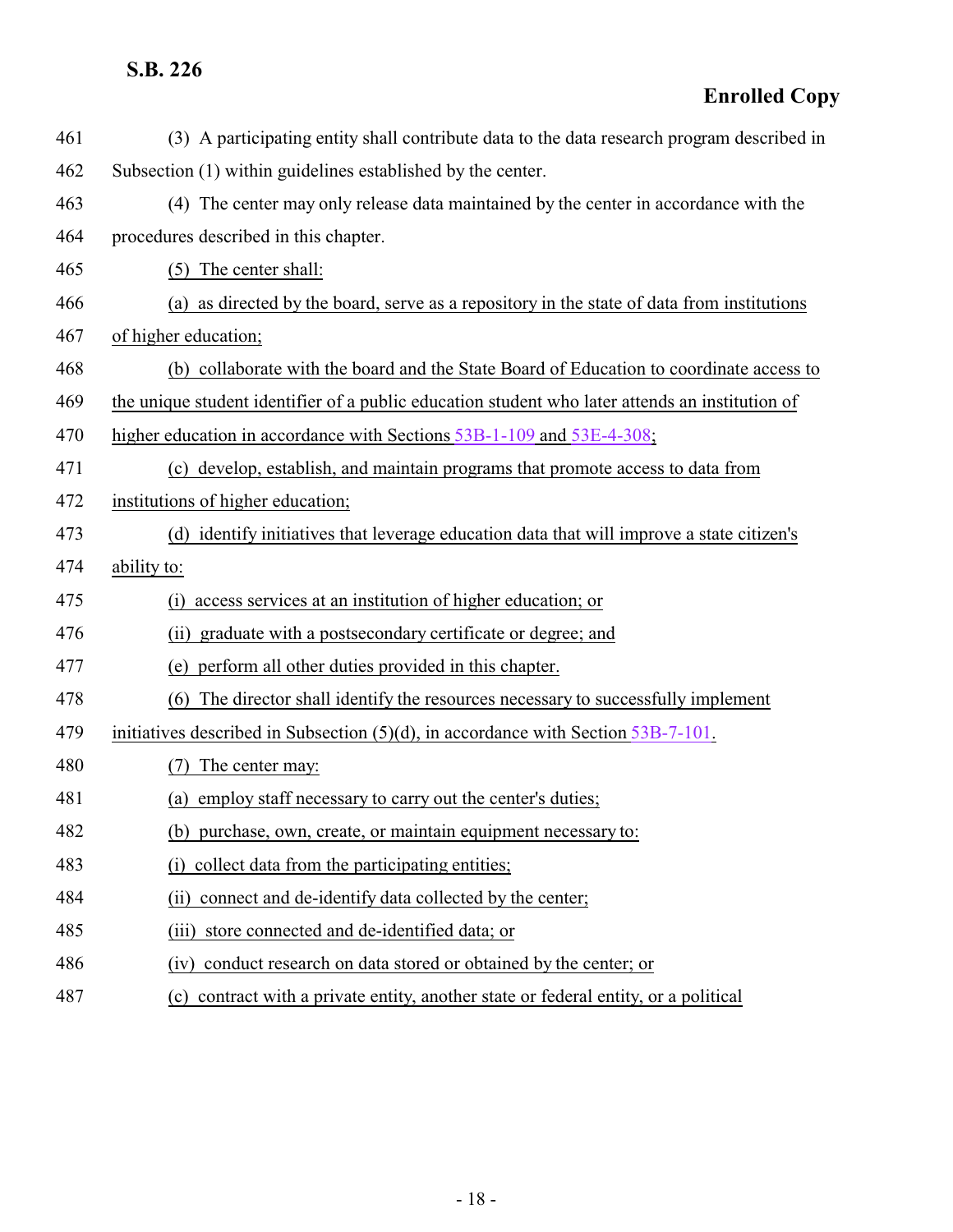| 461 | (3) A participating entity shall contribute data to the data research program described in      |
|-----|-------------------------------------------------------------------------------------------------|
| 462 | Subsection (1) within guidelines established by the center.                                     |
| 463 | (4) The center may only release data maintained by the center in accordance with the            |
| 464 | procedures described in this chapter.                                                           |
| 465 | (5) The center shall:                                                                           |
| 466 | (a) as directed by the board, serve as a repository in the state of data from institutions      |
| 467 | of higher education;                                                                            |
| 468 | (b) collaborate with the board and the State Board of Education to coordinate access to         |
| 469 | the unique student identifier of a public education student who later attends an institution of |
| 470 | higher education in accordance with Sections 53B-1-109 and 53E-4-308;                           |
| 471 | (c) develop, establish, and maintain programs that promote access to data from                  |
| 472 | institutions of higher education;                                                               |
| 473 | (d) identify initiatives that leverage education data that will improve a state citizen's       |
| 474 | ability to:                                                                                     |
| 475 | access services at an institution of higher education; or<br>(i)                                |
| 476 | (ii) graduate with a postsecondary certificate or degree; and                                   |
| 477 | (e) perform all other duties provided in this chapter.                                          |
| 478 | The director shall identify the resources necessary to successfully implement<br>(6)            |
| 479 | initiatives described in Subsection $(5)(d)$ , in accordance with Section $53B-7-101$ .         |
| 480 | The center may:<br>(7)                                                                          |
| 481 | (a) employ staff necessary to carry out the center's duties;                                    |
| 482 | (b) purchase, own, create, or maintain equipment necessary to:                                  |
| 483 | collect data from the participating entities;<br>(1)                                            |
| 484 | connect and de-identify data collected by the center;<br>(i)                                    |
| 485 | store connected and de-identified data; or<br>(iii)                                             |
| 486 | conduct research on data stored or obtained by the center; or<br>(iv)                           |
| 487 | contract with a private entity, another state or federal entity, or a political<br>(c)          |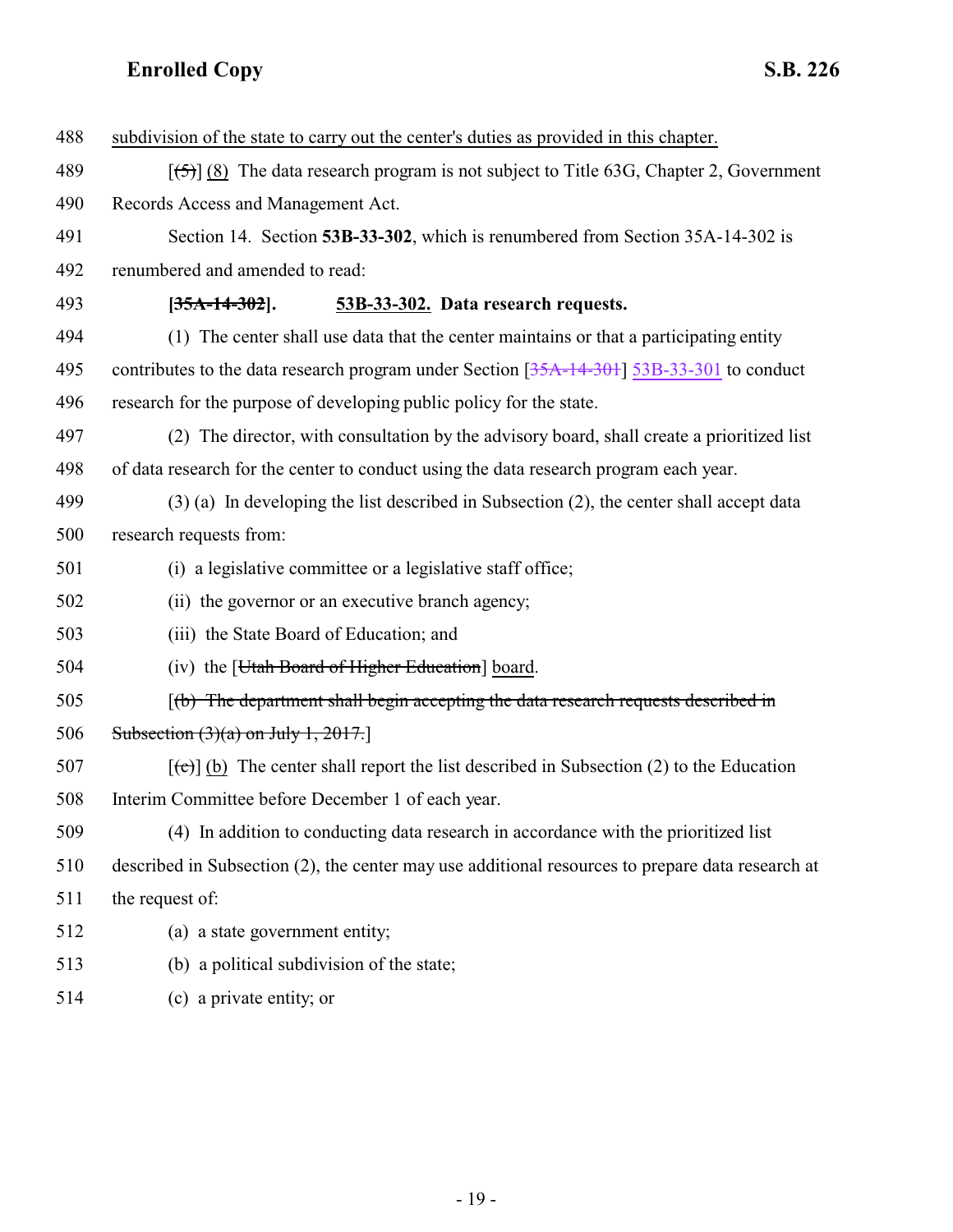<span id="page-18-0"></span>

| 488 | subdivision of the state to carry out the center's duties as provided in this chapter.             |
|-----|----------------------------------------------------------------------------------------------------|
| 489 | $[56]$ (8) The data research program is not subject to Title 63G, Chapter 2, Government            |
| 490 | Records Access and Management Act.                                                                 |
| 491 | Section 14. Section 53B-33-302, which is renumbered from Section 35A-14-302 is                     |
| 492 | renumbered and amended to read:                                                                    |
| 493 | 53B-33-302. Data research requests.<br>$[35A-14-302]$ .                                            |
| 494 | (1) The center shall use data that the center maintains or that a participating entity             |
| 495 | contributes to the data research program under Section [35A-14-301] 53B-33-301 to conduct          |
| 496 | research for the purpose of developing public policy for the state.                                |
| 497 | (2) The director, with consultation by the advisory board, shall create a prioritized list         |
| 498 | of data research for the center to conduct using the data research program each year.              |
| 499 | (3) (a) In developing the list described in Subsection (2), the center shall accept data           |
| 500 | research requests from:                                                                            |
| 501 | (i) a legislative committee or a legislative staff office;                                         |
| 502 | (ii) the governor or an executive branch agency;                                                   |
| 503 | (iii) the State Board of Education; and                                                            |
| 504 | (iv) the [ <i>Utah Board of Higher Education</i> ] board.                                          |
| 505 | $(f(b)$ The department shall begin accepting the data research requests described in               |
| 506 | Subsection $(3)(a)$ on July 1, 2017.                                                               |
| 507 | $[\text{e}^{-}]$ (b) The center shall report the list described in Subsection (2) to the Education |
| 508 | Interim Committee before December 1 of each year.                                                  |
| 509 | (4) In addition to conducting data research in accordance with the prioritized list                |
| 510 | described in Subsection (2), the center may use additional resources to prepare data research at   |
| 511 | the request of:                                                                                    |
| 512 | (a) a state government entity;                                                                     |
| 513 | (b) a political subdivision of the state;                                                          |
|     |                                                                                                    |

(c) a private entity; or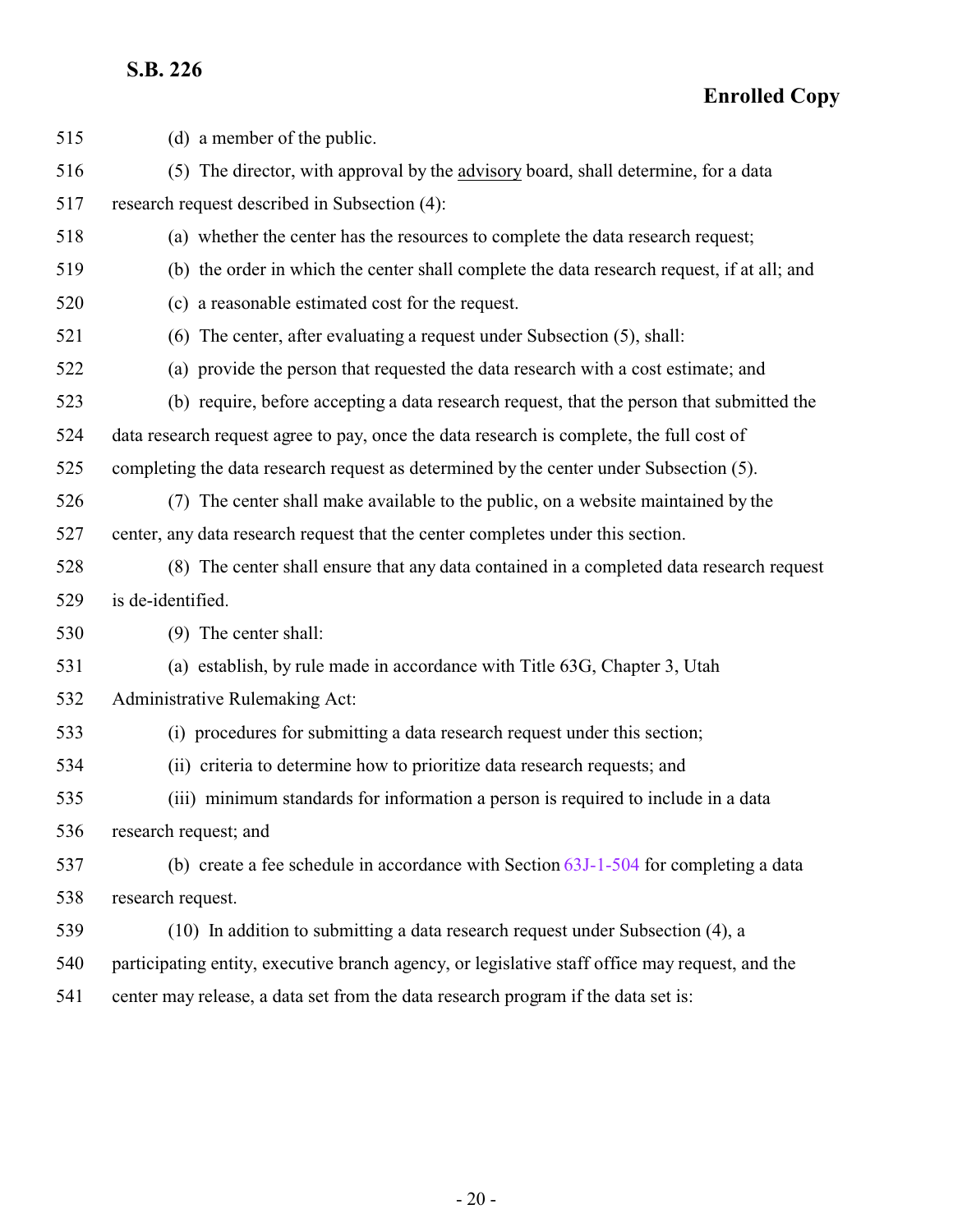| 515 | (d) a member of the public.                                                                     |
|-----|-------------------------------------------------------------------------------------------------|
| 516 | (5) The director, with approval by the advisory board, shall determine, for a data              |
| 517 | research request described in Subsection (4):                                                   |
| 518 | (a) whether the center has the resources to complete the data research request;                 |
| 519 | (b) the order in which the center shall complete the data research request, if at all; and      |
| 520 | (c) a reasonable estimated cost for the request.                                                |
| 521 | (6) The center, after evaluating a request under Subsection (5), shall:                         |
| 522 | (a) provide the person that requested the data research with a cost estimate; and               |
| 523 | (b) require, before accepting a data research request, that the person that submitted the       |
| 524 | data research request agree to pay, once the data research is complete, the full cost of        |
| 525 | completing the data research request as determined by the center under Subsection (5).          |
| 526 | (7) The center shall make available to the public, on a website maintained by the               |
| 527 | center, any data research request that the center completes under this section.                 |
| 528 | (8) The center shall ensure that any data contained in a completed data research request        |
| 529 | is de-identified.                                                                               |
| 530 | (9) The center shall:                                                                           |
| 531 | (a) establish, by rule made in accordance with Title 63G, Chapter 3, Utah                       |
| 532 | Administrative Rulemaking Act:                                                                  |
| 533 | (i) procedures for submitting a data research request under this section;                       |
| 534 | (ii) criteria to determine how to prioritize data research requests; and                        |
| 535 | (iii) minimum standards for information a person is required to include in a data               |
| 536 | research request; and                                                                           |
| 537 | (b) create a fee schedule in accordance with Section $63J-1-504$ for completing a data          |
| 538 | research request.                                                                               |
| 539 | (10) In addition to submitting a data research request under Subsection (4), a                  |
| 540 | participating entity, executive branch agency, or legislative staff office may request, and the |
| 541 | center may release, a data set from the data research program if the data set is:               |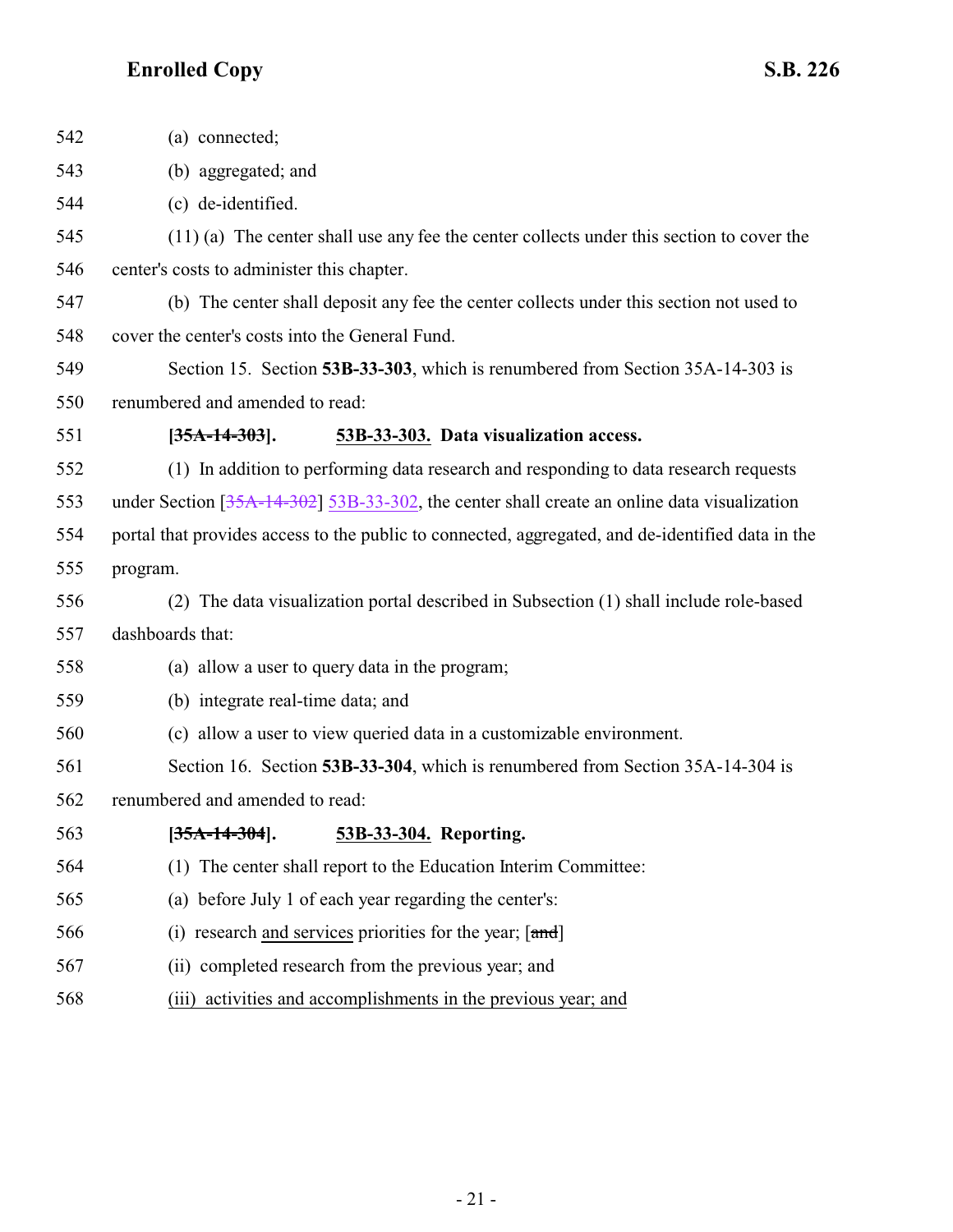<span id="page-20-1"></span><span id="page-20-0"></span>

| 542 | (a) connected;                                                                                    |
|-----|---------------------------------------------------------------------------------------------------|
| 543 | (b) aggregated; and                                                                               |
| 544 | (c) de-identified.                                                                                |
| 545 | (11) (a) The center shall use any fee the center collects under this section to cover the         |
| 546 | center's costs to administer this chapter.                                                        |
| 547 | (b) The center shall deposit any fee the center collects under this section not used to           |
| 548 | cover the center's costs into the General Fund.                                                   |
| 549 | Section 15. Section 53B-33-303, which is renumbered from Section 35A-14-303 is                    |
| 550 | renumbered and amended to read:                                                                   |
| 551 | 53B-33-303. Data visualization access.<br>$[35A-14-303]$ .                                        |
| 552 | (1) In addition to performing data research and responding to data research requests              |
| 553 | under Section $[35A-14-302]$ 53B-33-302, the center shall create an online data visualization     |
| 554 | portal that provides access to the public to connected, aggregated, and de-identified data in the |
| 555 | program.                                                                                          |
| 556 | (2) The data visualization portal described in Subsection (1) shall include role-based            |
| 557 | dashboards that:                                                                                  |
| 558 | (a) allow a user to query data in the program;                                                    |
| 559 | (b) integrate real-time data; and                                                                 |
| 560 | (c) allow a user to view queried data in a customizable environment.                              |
| 561 | Section 16. Section 53B-33-304, which is renumbered from Section 35A-14-304 is                    |
| 562 | renumbered and amended to read:                                                                   |
| 563 | $[35A-14-304]$ .<br>53B-33-304. Reporting.                                                        |
| 564 | (1) The center shall report to the Education Interim Committee:                                   |
| 565 | (a) before July 1 of each year regarding the center's:                                            |
| 566 | (i) research and services priorities for the year; $\lceil \frac{and}{\rceil} \rceil$             |
| 567 | completed research from the previous year; and<br>(i)                                             |
| 568 | activities and accomplishments in the previous year; and<br>(iii)                                 |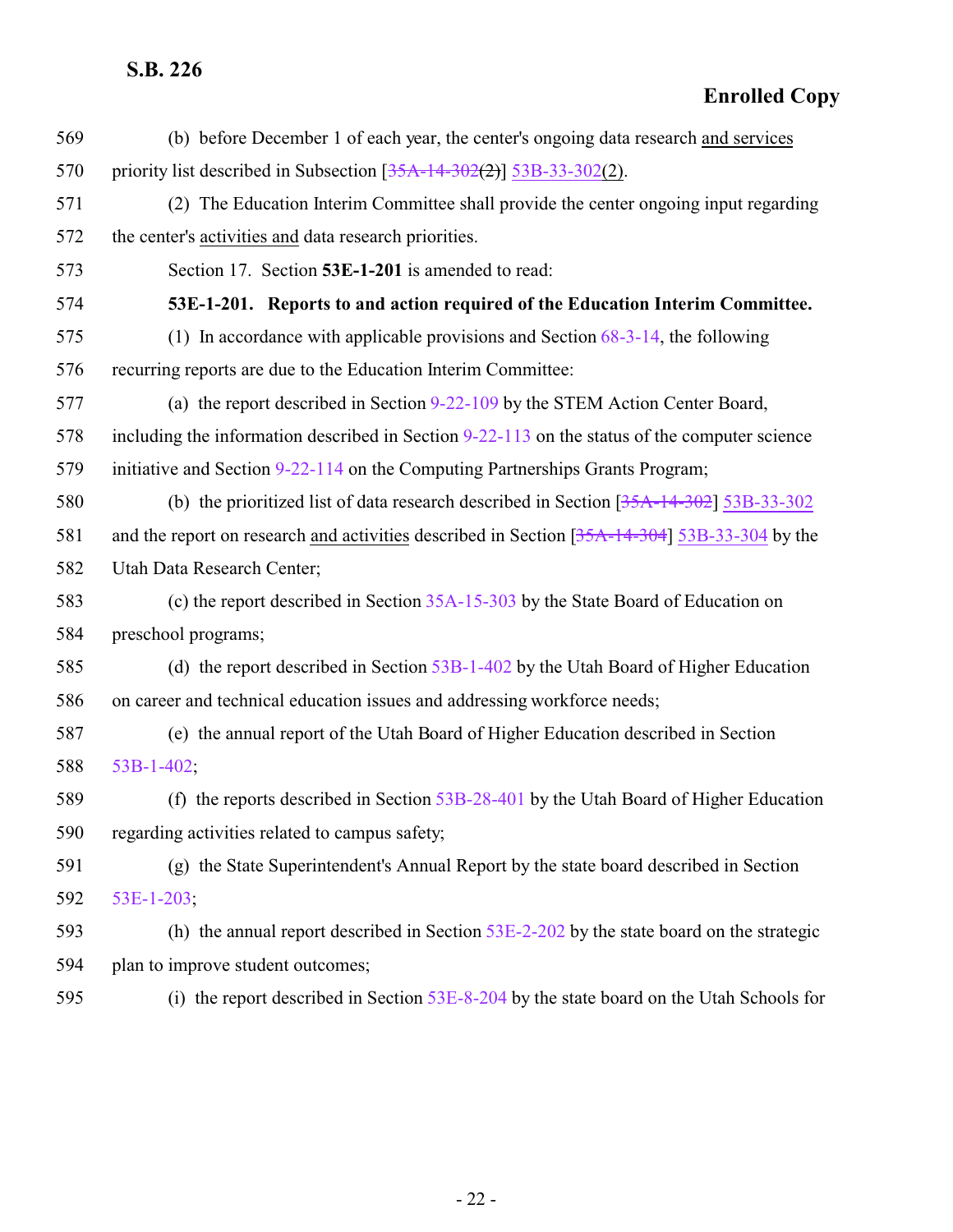<span id="page-21-0"></span>**Enrolled Copy**

| 569 | (b) before December 1 of each year, the center's ongoing data research and services             |
|-----|-------------------------------------------------------------------------------------------------|
| 570 | priority list described in Subsection $[35A-14-302(2)]$ 53B-33-302(2).                          |
| 571 | (2) The Education Interim Committee shall provide the center ongoing input regarding            |
| 572 | the center's activities and data research priorities.                                           |
| 573 | Section 17. Section 53E-1-201 is amended to read:                                               |
| 574 | 53E-1-201. Reports to and action required of the Education Interim Committee.                   |
| 575 | (1) In accordance with applicable provisions and Section $68-3-14$ , the following              |
| 576 | recurring reports are due to the Education Interim Committee:                                   |
| 577 | (a) the report described in Section 9-22-109 by the STEM Action Center Board,                   |
| 578 | including the information described in Section $9-22-113$ on the status of the computer science |
| 579 | initiative and Section 9-22-114 on the Computing Partnerships Grants Program;                   |
| 580 | (b) the prioritized list of data research described in Section $[35A-14-302]$ 53B-33-302        |
| 581 | and the report on research and activities described in Section [35A-14-304] 53B-33-304 by the   |
| 582 | Utah Data Research Center;                                                                      |
| 583 | (c) the report described in Section $35A-15-303$ by the State Board of Education on             |
| 584 | preschool programs;                                                                             |
| 585 | (d) the report described in Section $53B-1-402$ by the Utah Board of Higher Education           |
| 586 | on career and technical education issues and addressing workforce needs;                        |
| 587 | (e) the annual report of the Utah Board of Higher Education described in Section                |
| 588 | $53B-1-402$ ;                                                                                   |
| 589 | (f) the reports described in Section $53B-28-401$ by the Utah Board of Higher Education         |
| 590 | regarding activities related to campus safety;                                                  |
| 591 | (g) the State Superintendent's Annual Report by the state board described in Section            |
| 592 | $53E-1-203$ ;                                                                                   |
| 593 | (h) the annual report described in Section $53E-2-202$ by the state board on the strategic      |
| 594 | plan to improve student outcomes;                                                               |
|     |                                                                                                 |

595 (i) the report described in Section [53E-8-204](http://le.utah.gov/UtahCode/SectionLookup.jsp?section=53e-8-204&session=2022GS) by the state board on the Utah Schools for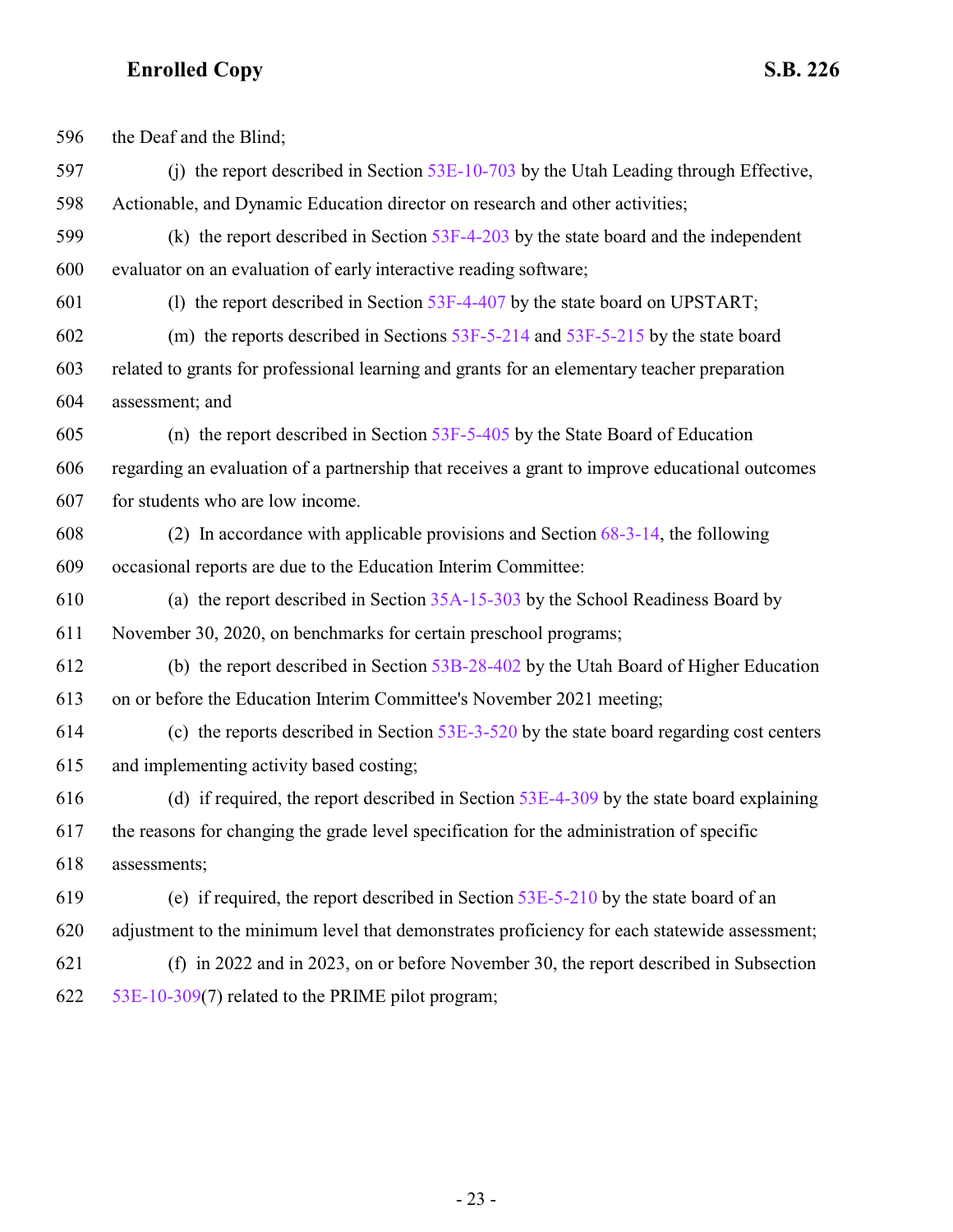the Deaf and the Blind; 597 (j) the report described in Section [53E-10-703](http://le.utah.gov/UtahCode/SectionLookup.jsp?section=53e-10-703&session=2022GS) by the Utah Leading through Effective, Actionable, and Dynamic Education director on research and other activities; (k) the report described in Section [53F-4-203](http://le.utah.gov/UtahCode/SectionLookup.jsp?section=53f-4-203&session=2022GS) by the state board and the independent evaluator on an evaluation of early interactive reading software; (l) the report described in Section [53F-4-407](http://le.utah.gov/UtahCode/SectionLookup.jsp?section=53f-4-407&session=2022GS) by the state board on UPSTART; (m) the reports described in Sections [53F-5-214](http://le.utah.gov/UtahCode/SectionLookup.jsp?section=53f-5-214&session=2022GS) and [53F-5-215](http://le.utah.gov/UtahCode/SectionLookup.jsp?section=53f-5-215&session=2022GS) by the state board related to grants for professional learning and grants for an elementary teacher preparation assessment; and (n) the report described in Section [53F-5-405](http://le.utah.gov/UtahCode/SectionLookup.jsp?section=53f-5-405&session=2022GS) by the State Board of Education regarding an evaluation of a partnership that receives a grant to improve educational outcomes for students who are low income. (2) In accordance with applicable provisions and Section [68-3-14](http://le.utah.gov/UtahCode/SectionLookup.jsp?section=68-3-14&session=2022GS), the following occasional reports are due to the Education Interim Committee: (a) the report described in Section [35A-15-303](http://le.utah.gov/UtahCode/SectionLookup.jsp?section=35a-15-303&session=2022GS) by the School Readiness Board by November 30, 2020, on benchmarks for certain preschool programs; (b) the report described in Section [53B-28-402](http://le.utah.gov/UtahCode/SectionLookup.jsp?section=53b-28-402&session=2022GS) by the Utah Board of Higher Education on or before the Education Interim Committee's November 2021 meeting; 614 (c) the reports described in Section  $53E-3-520$  by the state board regarding cost centers and implementing activity based costing; 616 (d) if required, the report described in Section  $53E-4-309$  by the state board explaining the reasons for changing the grade level specification for the administration of specific assessments; (e) if required, the report described in Section [53E-5-210](http://le.utah.gov/UtahCode/SectionLookup.jsp?section=53e-5-210&session=2022GS) by the state board of an adjustment to the minimum level that demonstrates proficiency for each statewide assessment; (f) in 2022 and in 2023, on or before November 30, the report described in Subsection [53E-10-309](http://le.utah.gov/UtahCode/SectionLookup.jsp?section=53e-10-309&session=2022GS)(7) related to the PRIME pilot program;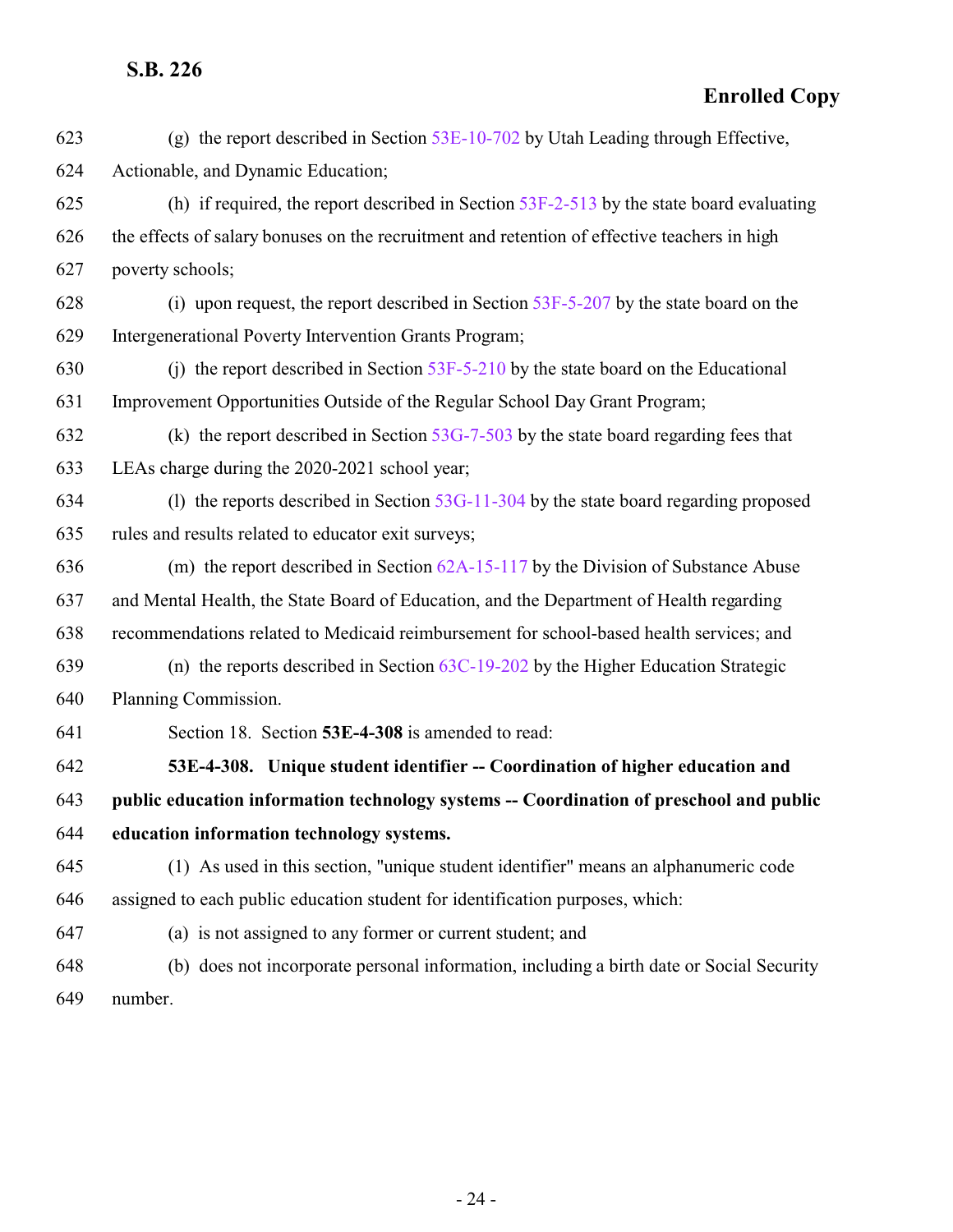<span id="page-23-0"></span>

| 623 | (g) the report described in Section $53E-10-702$ by Utah Leading through Effective,          |
|-----|----------------------------------------------------------------------------------------------|
| 624 | Actionable, and Dynamic Education;                                                           |
| 625 | (h) if required, the report described in Section $53F-2-513$ by the state board evaluating   |
| 626 | the effects of salary bonuses on the recruitment and retention of effective teachers in high |
| 627 | poverty schools;                                                                             |
| 628 | (i) upon request, the report described in Section $53F-5-207$ by the state board on the      |
| 629 | Intergenerational Poverty Intervention Grants Program;                                       |
| 630 | (i) the report described in Section $53F-5-210$ by the state board on the Educational        |
| 631 | Improvement Opportunities Outside of the Regular School Day Grant Program;                   |
| 632 | (k) the report described in Section $53G-7-503$ by the state board regarding fees that       |
| 633 | LEAs charge during the 2020-2021 school year;                                                |
| 634 | (1) the reports described in Section $53G-11-304$ by the state board regarding proposed      |
| 635 | rules and results related to educator exit surveys;                                          |
| 636 | (m) the report described in Section $62A-15-117$ by the Division of Substance Abuse          |
| 637 | and Mental Health, the State Board of Education, and the Department of Health regarding      |
| 638 | recommendations related to Medicaid reimbursement for school-based health services; and      |
| 639 | (n) the reports described in Section $63C-19-202$ by the Higher Education Strategic          |
| 640 | Planning Commission.                                                                         |
| 641 | Section 18. Section 53E-4-308 is amended to read:                                            |
| 642 | 53E-4-308. Unique student identifier -- Coordination of higher education and                 |
| 643 | public education information technology systems -- Coordination of preschool and public      |
| 644 | education information technology systems.                                                    |
| 645 | (1) As used in this section, "unique student identifier" means an alphanumeric code          |
| 646 | assigned to each public education student for identification purposes, which:                |
| 647 | (a) is not assigned to any former or current student; and                                    |
| 648 | (b) does not incorporate personal information, including a birth date or Social Security     |
| 649 | number.                                                                                      |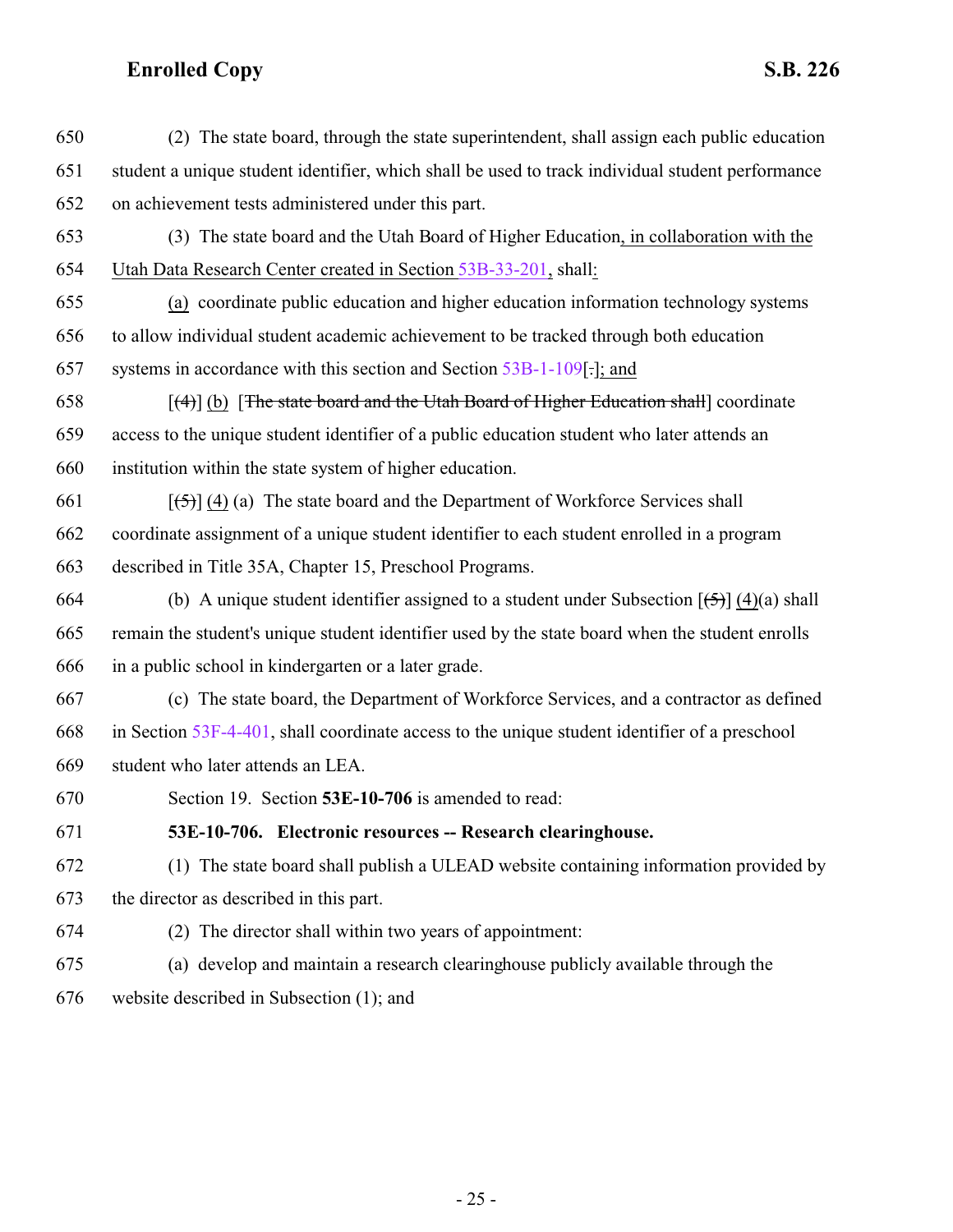<span id="page-24-0"></span>

| 650 | (2) The state board, through the state superintendent, shall assign each public education             |
|-----|-------------------------------------------------------------------------------------------------------|
| 651 | student a unique student identifier, which shall be used to track individual student performance      |
| 652 | on achievement tests administered under this part.                                                    |
| 653 | (3) The state board and the Utah Board of Higher Education, in collaboration with the                 |
| 654 | Utah Data Research Center created in Section 53B-33-201, shall:                                       |
| 655 | (a) coordinate public education and higher education information technology systems                   |
| 656 | to allow individual student academic achievement to be tracked through both education                 |
| 657 | systems in accordance with this section and Section 53B-1-109[:]; and                                 |
| 658 | $[(4)]$ (b) [The state board and the Utah Board of Higher Education shall] coordinate                 |
| 659 | access to the unique student identifier of a public education student who later attends an            |
| 660 | institution within the state system of higher education.                                              |
| 661 | $[\left( \frac{1}{2} \right)]$ (4) (a) The state board and the Department of Workforce Services shall |
| 662 | coordinate assignment of a unique student identifier to each student enrolled in a program            |
| 663 | described in Title 35A, Chapter 15, Preschool Programs.                                               |
| 664 | (b) A unique student identifier assigned to a student under Subsection $[\frac{1}{2}]$ (4)(a) shall   |
| 665 | remain the student's unique student identifier used by the state board when the student enrolls       |
| 666 | in a public school in kindergarten or a later grade.                                                  |
| 667 | (c) The state board, the Department of Workforce Services, and a contractor as defined                |
| 668 | in Section $53F-4-401$ , shall coordinate access to the unique student identifier of a preschool      |
| 669 | student who later attends an LEA.                                                                     |
| 670 | Section 19. Section 53E-10-706 is amended to read:                                                    |
| 671 | 53E-10-706. Electronic resources -- Research clearinghouse.                                           |
| 672 | (1) The state board shall publish a ULEAD website containing information provided by                  |
| 673 | the director as described in this part.                                                               |
| 674 | (2) The director shall within two years of appointment:                                               |
| 675 | (a) develop and maintain a research clearinghouse publicly available through the                      |
| 676 | website described in Subsection (1); and                                                              |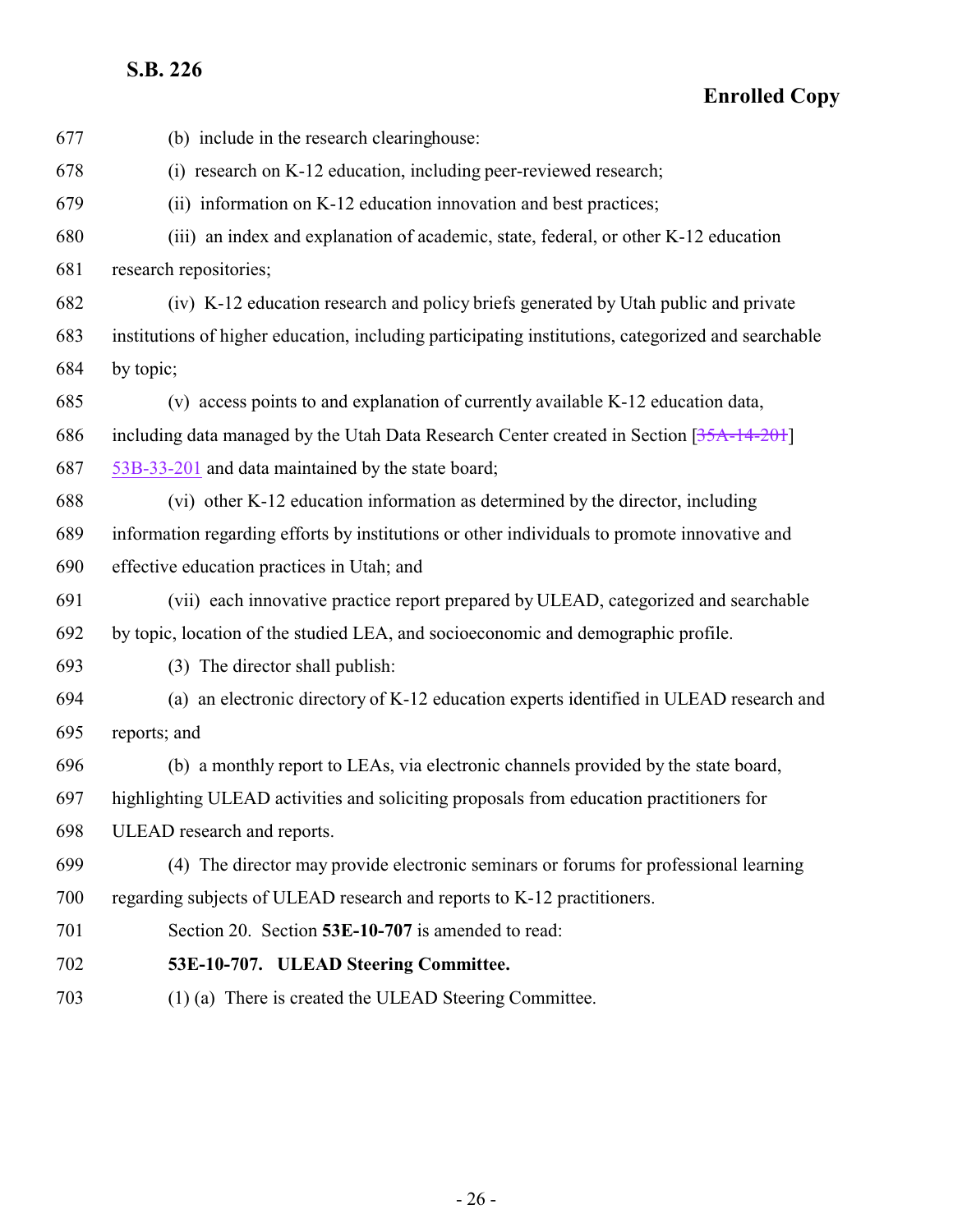<span id="page-25-0"></span>

| 677 | (b) include in the research clearinghouse:                                                         |
|-----|----------------------------------------------------------------------------------------------------|
| 678 | (i) research on K-12 education, including peer-reviewed research;                                  |
| 679 | (ii) information on K-12 education innovation and best practices;                                  |
| 680 | (iii) an index and explanation of academic, state, federal, or other K-12 education                |
| 681 | research repositories;                                                                             |
| 682 | (iv) K-12 education research and policy briefs generated by Utah public and private                |
| 683 | institutions of higher education, including participating institutions, categorized and searchable |
| 684 | by topic;                                                                                          |
| 685 | (v) access points to and explanation of currently available K-12 education data,                   |
| 686 | including data managed by the Utah Data Research Center created in Section [35A-14-201]            |
| 687 | 53B-33-201 and data maintained by the state board;                                                 |
| 688 | (vi) other K-12 education information as determined by the director, including                     |
| 689 | information regarding efforts by institutions or other individuals to promote innovative and       |
| 690 | effective education practices in Utah; and                                                         |
| 691 | (vii) each innovative practice report prepared by ULEAD, categorized and searchable                |
| 692 | by topic, location of the studied LEA, and socioeconomic and demographic profile.                  |
| 693 | (3) The director shall publish:                                                                    |
| 694 | (a) an electronic directory of K-12 education experts identified in ULEAD research and             |
| 695 | reports; and                                                                                       |
| 696 | (b) a monthly report to LEAs, via electronic channels provided by the state board,                 |
| 697 | highlighting ULEAD activities and soliciting proposals from education practitioners for            |
| 698 | ULEAD research and reports.                                                                        |
| 699 | (4) The director may provide electronic seminars or forums for professional learning               |
| 700 | regarding subjects of ULEAD research and reports to K-12 practitioners.                            |
| 701 | Section 20. Section 53E-10-707 is amended to read:                                                 |
| 702 | 53E-10-707. ULEAD Steering Committee.                                                              |
| 703 | (1) (a) There is created the ULEAD Steering Committee.                                             |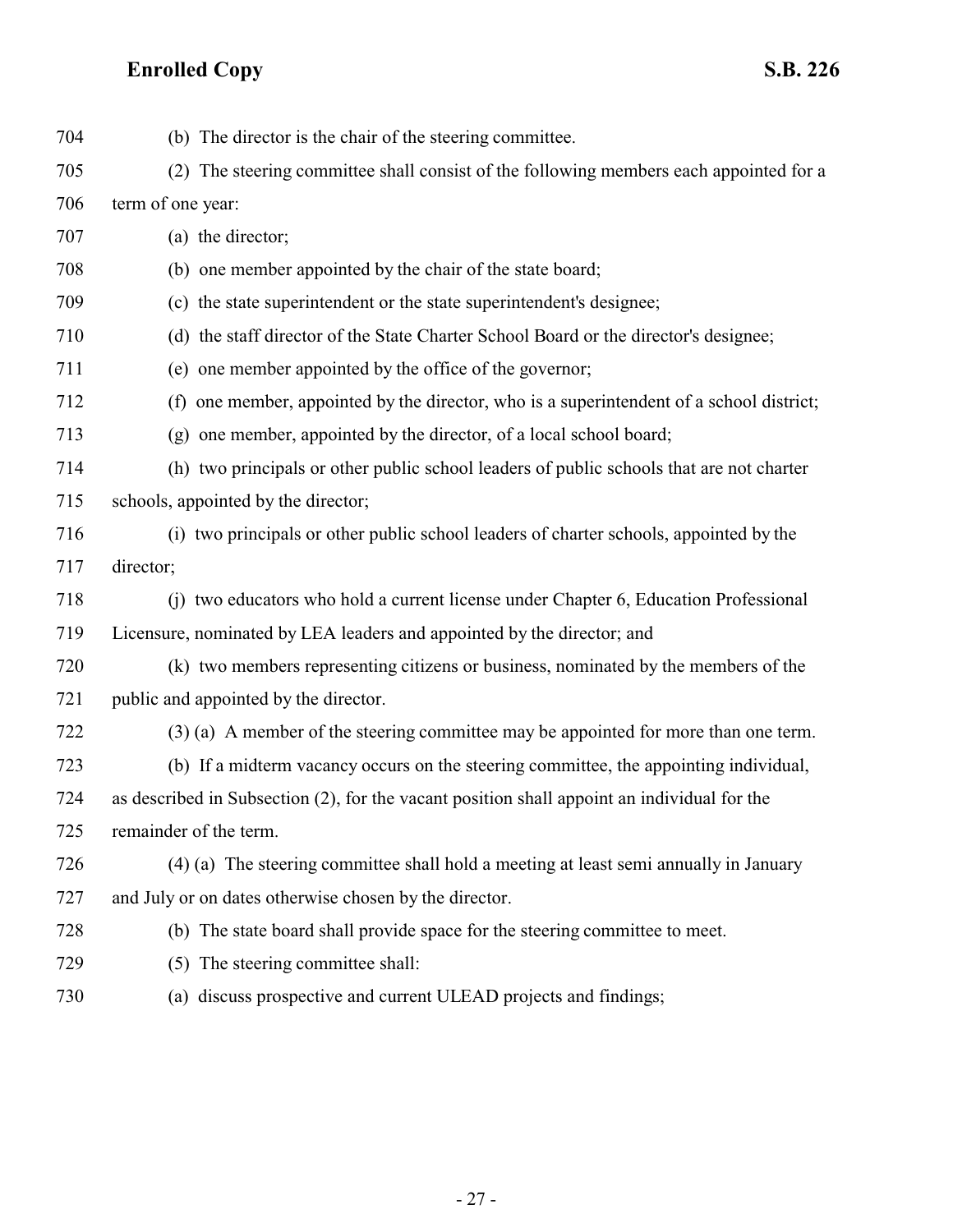| 704 | (b) The director is the chair of the steering committee.                                    |
|-----|---------------------------------------------------------------------------------------------|
| 705 | (2) The steering committee shall consist of the following members each appointed for a      |
| 706 | term of one year:                                                                           |
| 707 | (a) the director;                                                                           |
| 708 | (b) one member appointed by the chair of the state board;                                   |
| 709 | (c) the state superintendent or the state superintendent's designee;                        |
| 710 | (d) the staff director of the State Charter School Board or the director's designee;        |
| 711 | (e) one member appointed by the office of the governor;                                     |
| 712 | (f) one member, appointed by the director, who is a superintendent of a school district;    |
| 713 | (g) one member, appointed by the director, of a local school board;                         |
| 714 | (h) two principals or other public school leaders of public schools that are not charter    |
| 715 | schools, appointed by the director;                                                         |
| 716 | (i) two principals or other public school leaders of charter schools, appointed by the      |
| 717 | director;                                                                                   |
| 718 | (i) two educators who hold a current license under Chapter 6, Education Professional        |
| 719 | Licensure, nominated by LEA leaders and appointed by the director; and                      |
| 720 | (k) two members representing citizens or business, nominated by the members of the          |
| 721 | public and appointed by the director.                                                       |
| 722 | (3) (a) A member of the steering committee may be appointed for more than one term.         |
| 723 | (b) If a midterm vacancy occurs on the steering committee, the appointing individual,       |
| 724 | as described in Subsection (2), for the vacant position shall appoint an individual for the |
| 725 | remainder of the term.                                                                      |
| 726 | (4) (a) The steering committee shall hold a meeting at least semi annually in January       |
| 727 | and July or on dates otherwise chosen by the director.                                      |
| 728 | (b) The state board shall provide space for the steering committee to meet.                 |
| 729 | (5) The steering committee shall:                                                           |
| 730 | (a) discuss prospective and current ULEAD projects and findings;                            |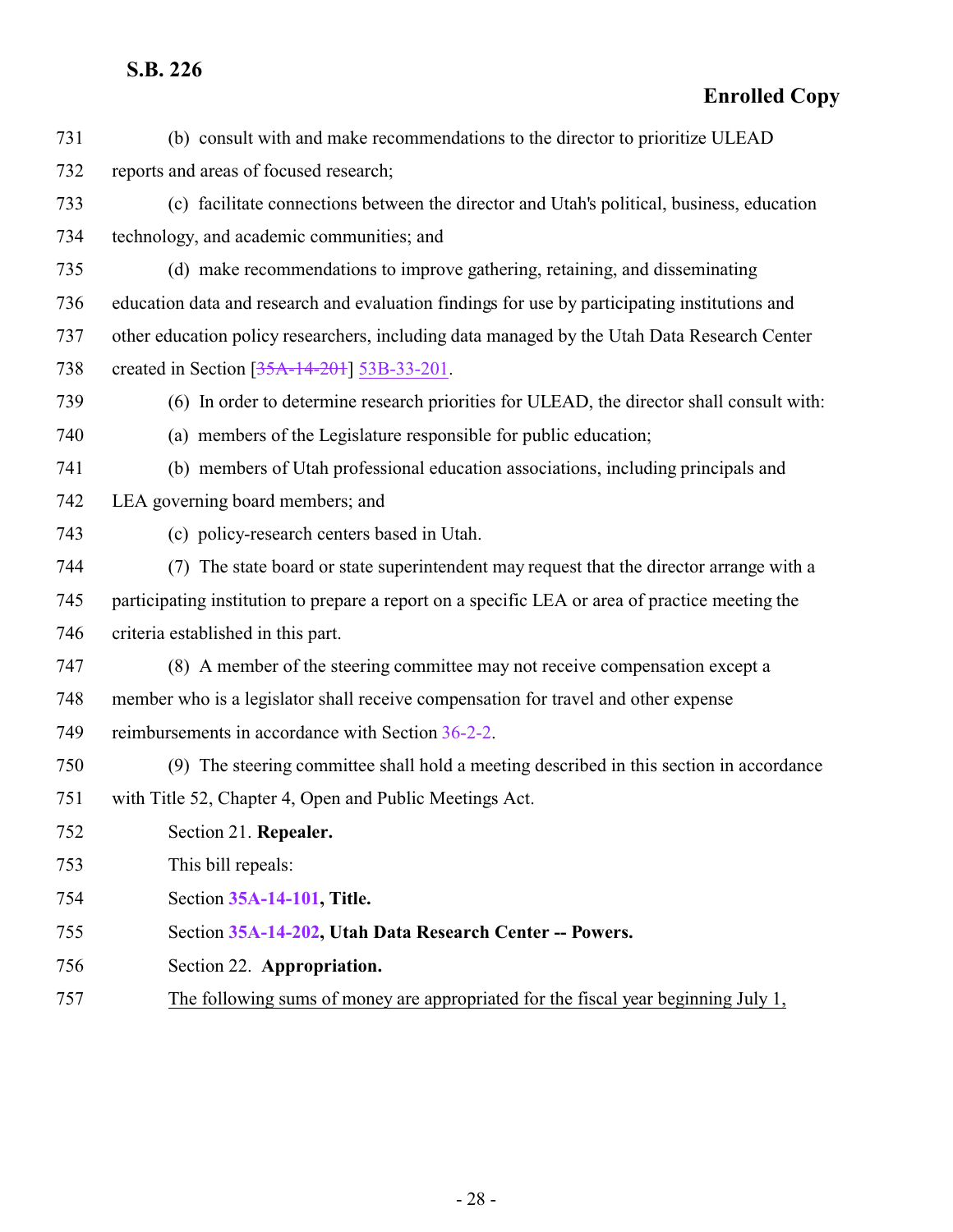| 731 | (b) consult with and make recommendations to the director to prioritize ULEAD                   |
|-----|-------------------------------------------------------------------------------------------------|
| 732 | reports and areas of focused research;                                                          |
| 733 | (c) facilitate connections between the director and Utah's political, business, education       |
| 734 | technology, and academic communities; and                                                       |
| 735 | (d) make recommendations to improve gathering, retaining, and disseminating                     |
| 736 | education data and research and evaluation findings for use by participating institutions and   |
| 737 | other education policy researchers, including data managed by the Utah Data Research Center     |
| 738 | created in Section [35A-14-201] 53B-33-201.                                                     |
| 739 | (6) In order to determine research priorities for ULEAD, the director shall consult with:       |
| 740 | (a) members of the Legislature responsible for public education;                                |
| 741 | (b) members of Utah professional education associations, including principals and               |
| 742 | LEA governing board members; and                                                                |
| 743 | (c) policy-research centers based in Utah.                                                      |
| 744 | (7) The state board or state superintendent may request that the director arrange with a        |
| 745 | participating institution to prepare a report on a specific LEA or area of practice meeting the |
| 746 | criteria established in this part.                                                              |
| 747 | (8) A member of the steering committee may not receive compensation except a                    |
| 748 | member who is a legislator shall receive compensation for travel and other expense              |
| 749 | reimbursements in accordance with Section 36-2-2.                                               |
| 750 | (9) The steering committee shall hold a meeting described in this section in accordance         |
| 751 | with Title 52, Chapter 4, Open and Public Meetings Act.                                         |
| 752 | Section 21. Repealer.                                                                           |
| 753 | This bill repeals:                                                                              |
| 754 | Section 35A-14-101, Title.                                                                      |
| 755 | Section 35A-14-202, Utah Data Research Center -- Powers.                                        |
| 756 | Section 22. Appropriation.                                                                      |
| 757 | The following sums of money are appropriated for the fiscal year beginning July 1,              |